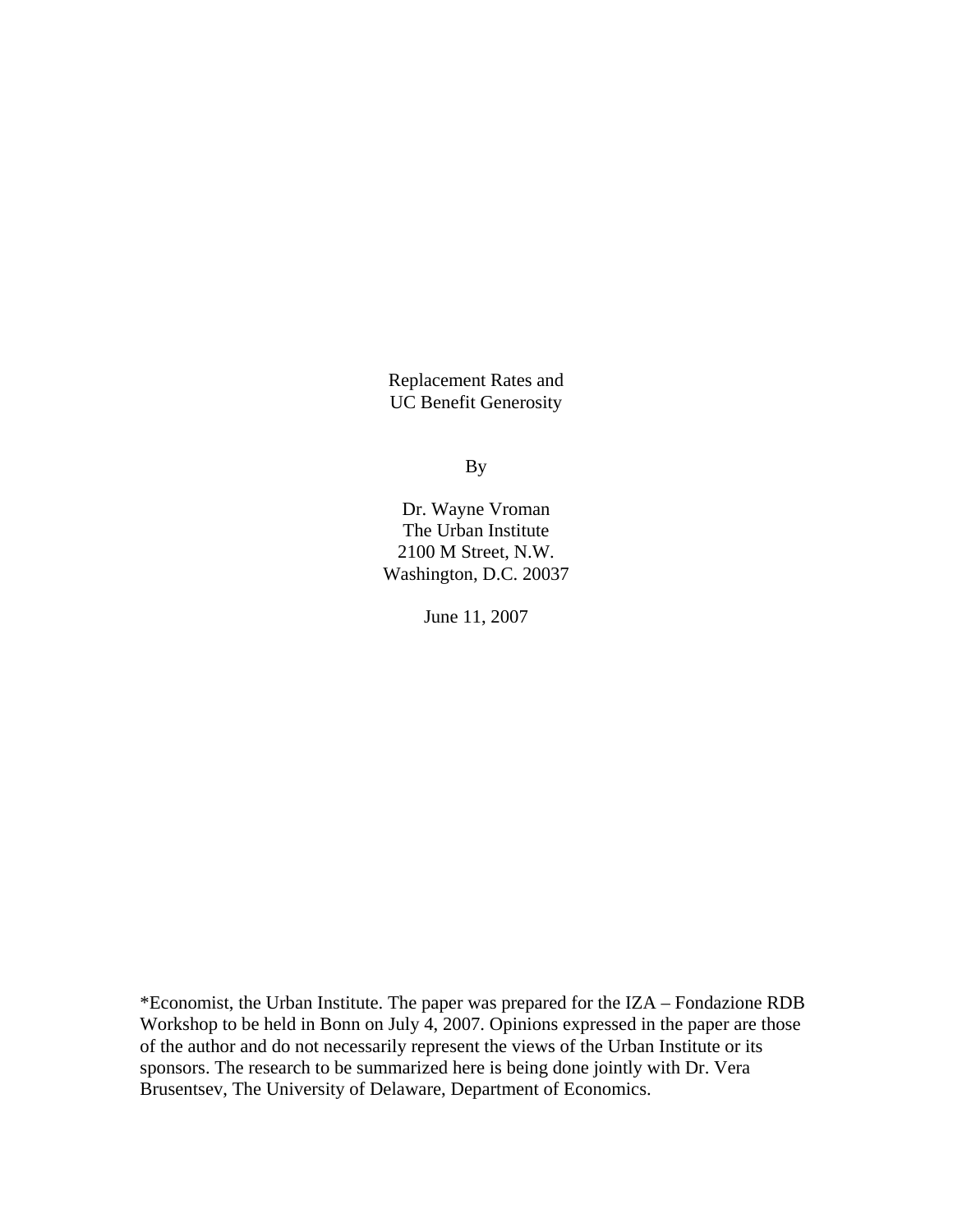Replacement Rates and UC Benefit Generosity

By

Dr. Wayne Vroman The Urban Institute 2100 M Street, N.W. Washington, D.C. 20037

June 11, 2007

\*Economist, the Urban Institute. The paper was prepared for the IZA – Fondazione RDB Workshop to be held in Bonn on July 4, 2007. Opinions expressed in the paper are those of the author and do not necessarily represent the views of the Urban Institute or its sponsors. The research to be summarized here is being done jointly with Dr. Vera Brusentsev, The University of Delaware, Department of Economics.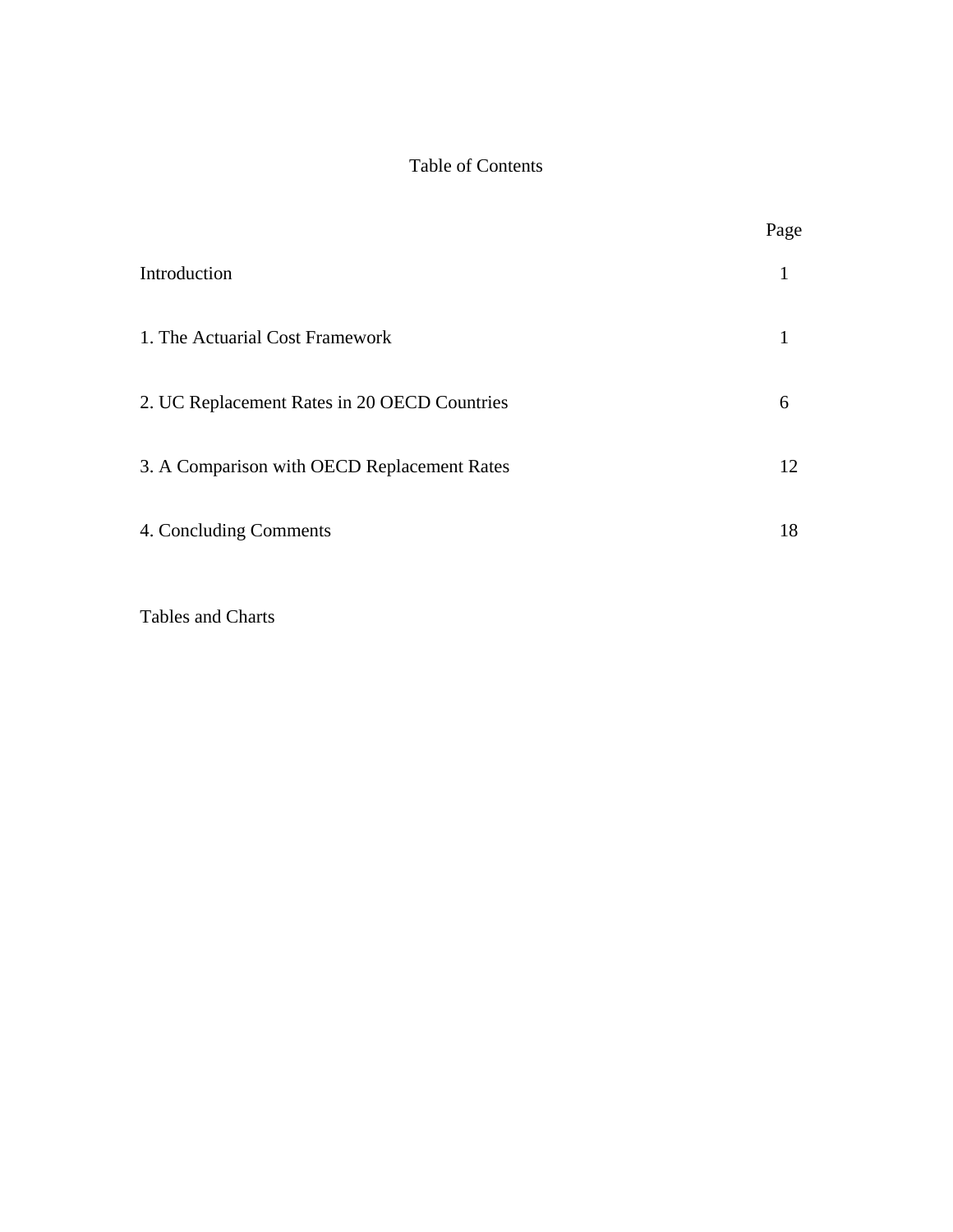# Table of Contents

|                                              | Page |
|----------------------------------------------|------|
| Introduction                                 |      |
| 1. The Actuarial Cost Framework              |      |
| 2. UC Replacement Rates in 20 OECD Countries | 6    |
| 3. A Comparison with OECD Replacement Rates  | 12   |
| 4. Concluding Comments                       | 18   |

Tables and Charts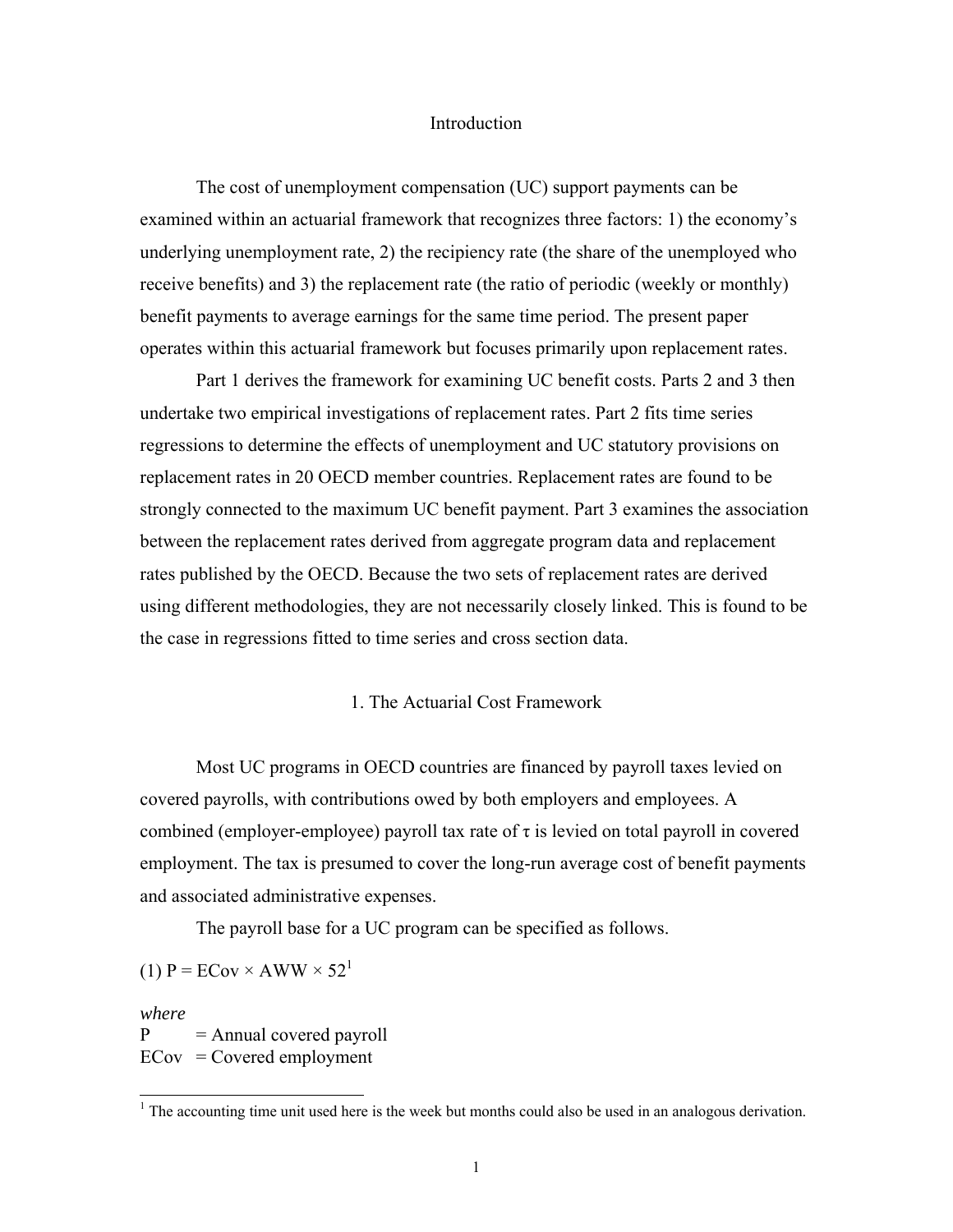#### Introduction

The cost of unemployment compensation (UC) support payments can be examined within an actuarial framework that recognizes three factors: 1) the economy's underlying unemployment rate, 2) the recipiency rate (the share of the unemployed who receive benefits) and 3) the replacement rate (the ratio of periodic (weekly or monthly) benefit payments to average earnings for the same time period. The present paper operates within this actuarial framework but focuses primarily upon replacement rates.

Part 1 derives the framework for examining UC benefit costs. Parts 2 and 3 then undertake two empirical investigations of replacement rates. Part 2 fits time series regressions to determine the effects of unemployment and UC statutory provisions on replacement rates in 20 OECD member countries. Replacement rates are found to be strongly connected to the maximum UC benefit payment. Part 3 examines the association between the replacement rates derived from aggregate program data and replacement rates published by the OECD. Because the two sets of replacement rates are derived using different methodologies, they are not necessarily closely linked. This is found to be the case in regressions fitted to time series and cross section data.

### 1. The Actuarial Cost Framework

Most UC programs in OECD countries are financed by payroll taxes levied on covered payrolls, with contributions owed by both employers and employees. A combined (employer-employee) payroll tax rate of  $\tau$  is levied on total payroll in covered employment. The tax is presumed to cover the long-run average cost of benefit payments and associated administrative expenses.

The payroll base for a UC program can be specified as follows.

(1)  $P = ECov \times AWW \times 52^1$ 

*where*  $P =$ Annual covered payroll  $ECov = Covered$  employment

<sup>&</sup>lt;sup>1</sup> The accounting time unit used here is the week but months could also be used in an analogous derivation.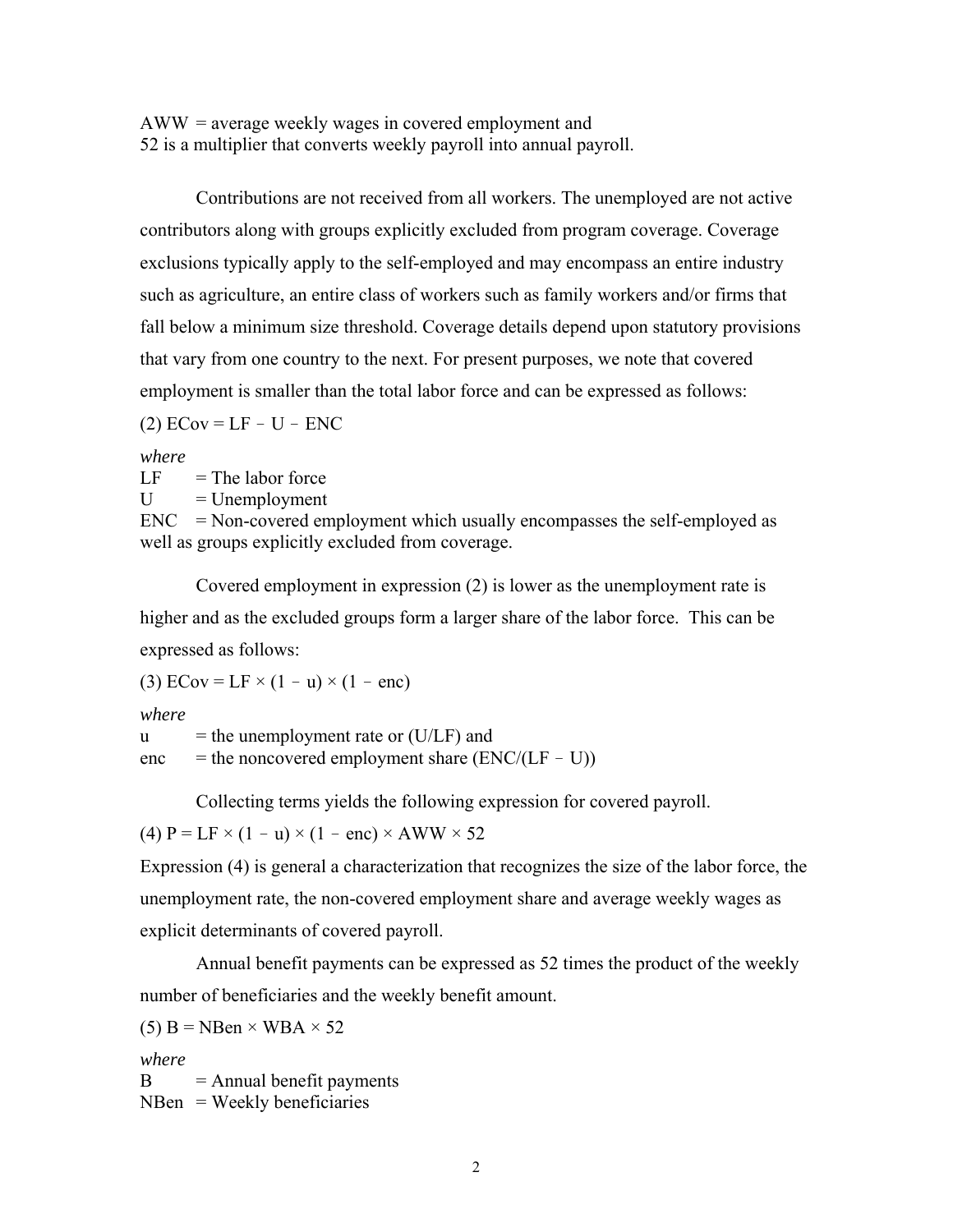AWW = average weekly wages in covered employment and 52 is a multiplier that converts weekly payroll into annual payroll.

 Contributions are not received from all workers. The unemployed are not active contributors along with groups explicitly excluded from program coverage. Coverage exclusions typically apply to the self-employed and may encompass an entire industry such as agriculture, an entire class of workers such as family workers and/or firms that fall below a minimum size threshold. Coverage details depend upon statutory provisions that vary from one country to the next. For present purposes, we note that covered employment is smaller than the total labor force and can be expressed as follows:

 $(2)$  ECov = LF - U - ENC

*where*

 $LF = The labor force$ 

 $U = U$ nemployment

 $ENC$  = Non-covered employment which usually encompasses the self-employed as well as groups explicitly excluded from coverage.

 Covered employment in expression (2) is lower as the unemployment rate is higher and as the excluded groups form a larger share of the labor force. This can be expressed as follows:

(3) ECov = LF  $\times$  (1 - u)  $\times$  (1 - enc)

*where*

 $u =$  the unemployment rate or (U/LF) and  $enc = the noncovered employment share (ENC/(LF - U))$ 

Collecting terms yields the following expression for covered payroll.

(4)  $P = LF \times (1 - u) \times (1 - enc) \times AWW \times 52$ 

Expression (4) is general a characterization that recognizes the size of the labor force, the unemployment rate, the non-covered employment share and average weekly wages as explicit determinants of covered payroll.

Annual benefit payments can be expressed as 52 times the product of the weekly number of beneficiaries and the weekly benefit amount.

(5) B = NBen  $\times$  WBA  $\times$  52

*where*

 $B =$ Annual benefit payments  $N$ Ben = Weekly beneficiaries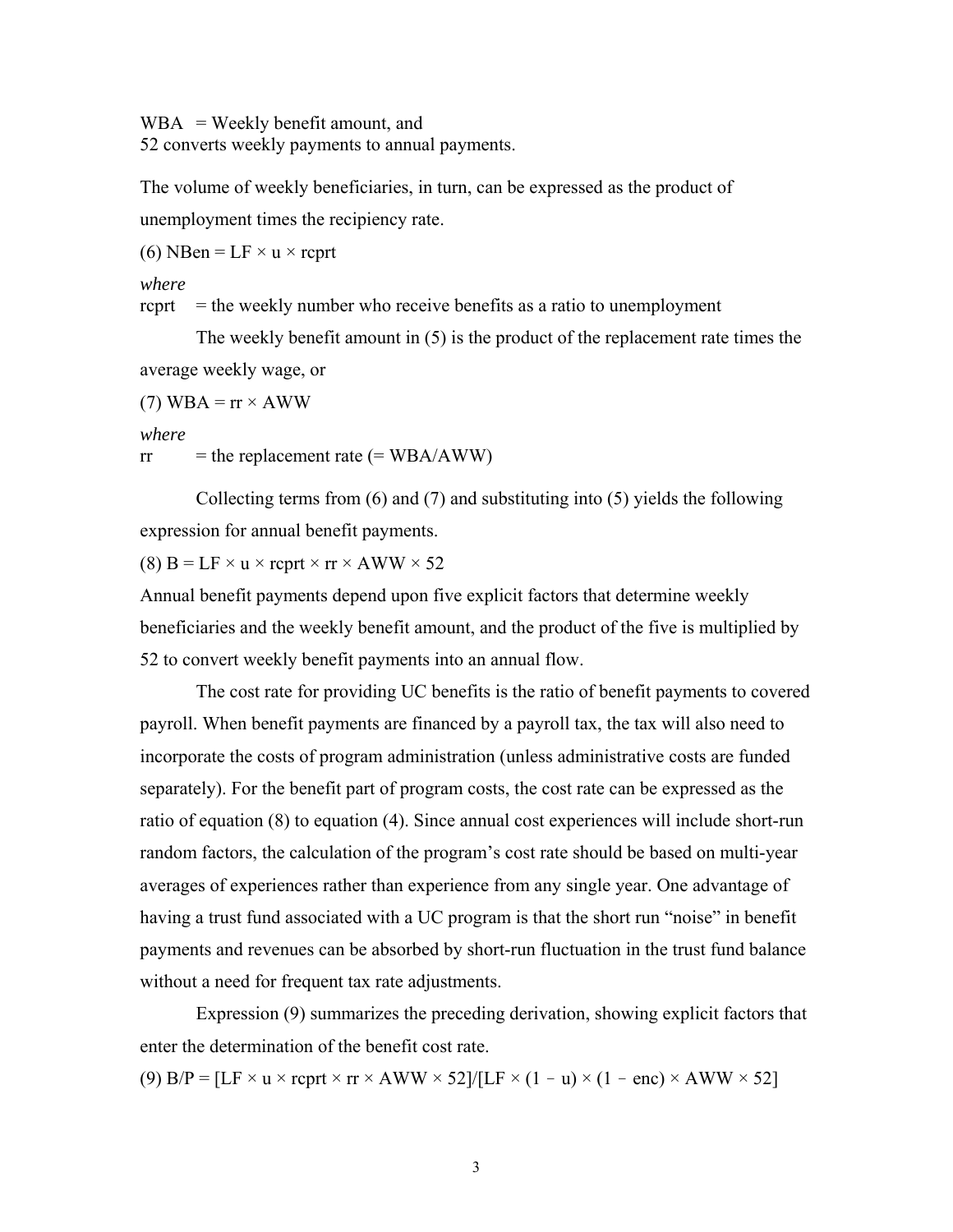$WBA = \text{Weakly benefit amount, and}$ 52 converts weekly payments to annual payments.

The volume of weekly beneficiaries, in turn, can be expressed as the product of unemployment times the recipiency rate.

(6) NBen =  $LF \times u \times$  rcprt

*where*

rcprt  $=$  the weekly number who receive benefits as a ratio to unemployment

 The weekly benefit amount in (5) is the product of the replacement rate times the average weekly wage, or

(7) WBA =  $rr \times AWW$ 

*where*

 $rr =$  the replacement rate (= WBA/AWW)

 Collecting terms from (6) and (7) and substituting into (5) yields the following expression for annual benefit payments.

(8)  $B = LF \times u \times$  rcprt  $\times$  rr  $\times$  AWW  $\times$  52

Annual benefit payments depend upon five explicit factors that determine weekly beneficiaries and the weekly benefit amount, and the product of the five is multiplied by 52 to convert weekly benefit payments into an annual flow.

The cost rate for providing UC benefits is the ratio of benefit payments to covered payroll. When benefit payments are financed by a payroll tax, the tax will also need to incorporate the costs of program administration (unless administrative costs are funded separately). For the benefit part of program costs, the cost rate can be expressed as the ratio of equation (8) to equation (4). Since annual cost experiences will include short-run random factors, the calculation of the program's cost rate should be based on multi-year averages of experiences rather than experience from any single year. One advantage of having a trust fund associated with a UC program is that the short run "noise" in benefit payments and revenues can be absorbed by short-run fluctuation in the trust fund balance without a need for frequent tax rate adjustments.

 Expression (9) summarizes the preceding derivation, showing explicit factors that enter the determination of the benefit cost rate.

(9)  $B/P = [LF \times u \times reprt \times rr \times AWW \times 52]/[LF \times (1 - u) \times (1 - enc) \times AWW \times 52]$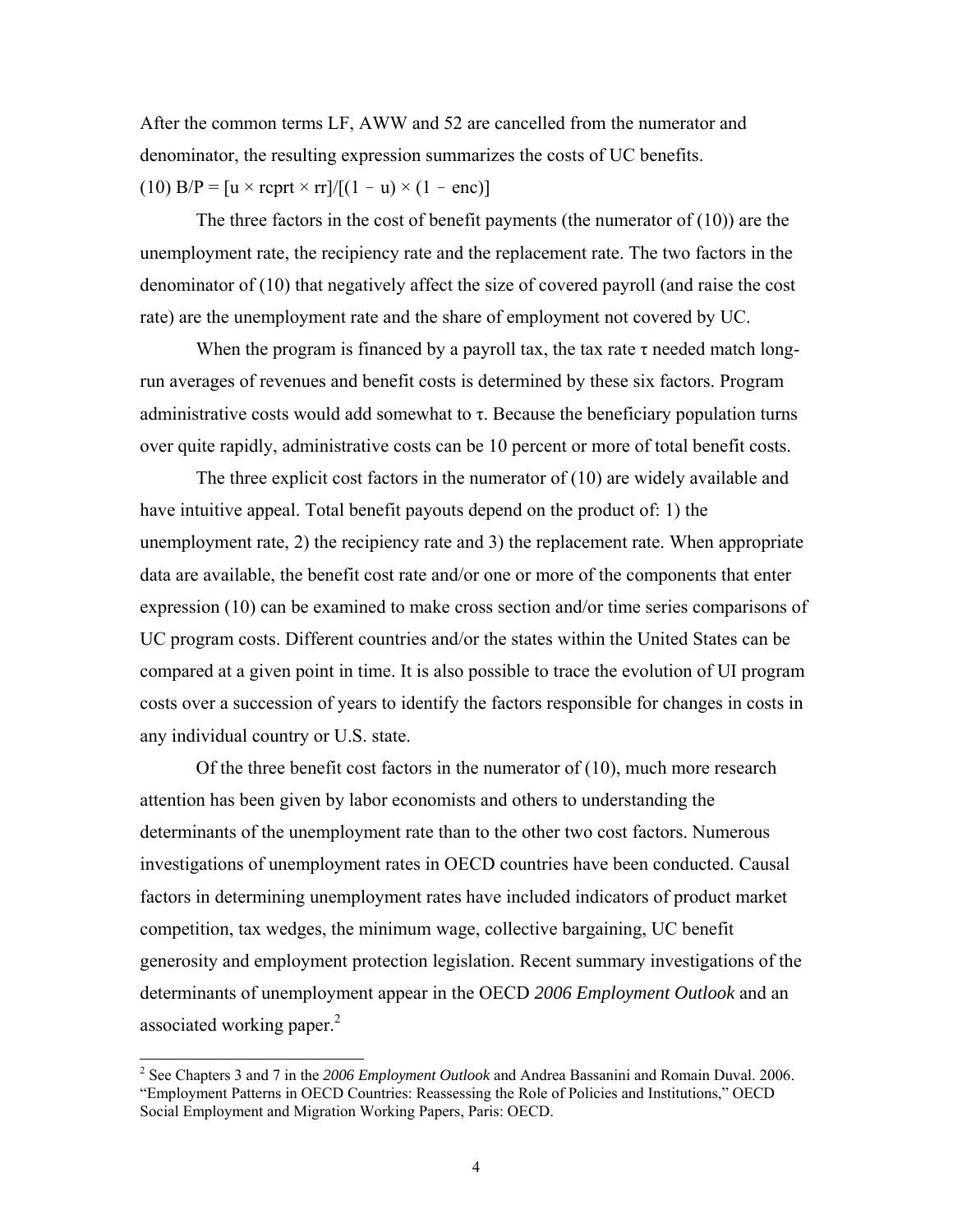After the common terms LF, AWW and 52 are cancelled from the numerator and denominator, the resulting expression summarizes the costs of UC benefits. (10)  $B/P = [u \times \text{rept} \times \text{rr}]/[(1 - u) \times (1 - \text{enc})]$ 

The three factors in the cost of benefit payments (the numerator of  $(10)$ ) are the unemployment rate, the recipiency rate and the replacement rate. The two factors in the denominator of (10) that negatively affect the size of covered payroll (and raise the cost rate) are the unemployment rate and the share of employment not covered by UC.

When the program is financed by a payroll tax, the tax rate  $\tau$  needed match longrun averages of revenues and benefit costs is determined by these six factors. Program administrative costs would add somewhat to  $\tau$ . Because the beneficiary population turns over quite rapidly, administrative costs can be 10 percent or more of total benefit costs.

The three explicit cost factors in the numerator of (10) are widely available and have intuitive appeal. Total benefit payouts depend on the product of: 1) the unemployment rate, 2) the recipiency rate and 3) the replacement rate. When appropriate data are available, the benefit cost rate and/or one or more of the components that enter expression (10) can be examined to make cross section and/or time series comparisons of UC program costs. Different countries and/or the states within the United States can be compared at a given point in time. It is also possible to trace the evolution of UI program costs over a succession of years to identify the factors responsible for changes in costs in any individual country or U.S. state.

Of the three benefit cost factors in the numerator of (10), much more research attention has been given by labor economists and others to understanding the determinants of the unemployment rate than to the other two cost factors. Numerous investigations of unemployment rates in OECD countries have been conducted. Causal factors in determining unemployment rates have included indicators of product market competition, tax wedges, the minimum wage, collective bargaining, UC benefit generosity and employment protection legislation. Recent summary investigations of the determinants of unemployment appear in the OECD *2006 Employment Outlook* and an associated working paper. $2$ 

 2 See Chapters 3 and 7 in the *2006 Employment Outlook* and Andrea Bassanini and Romain Duval. 2006. "Employment Patterns in OECD Countries: Reassessing the Role of Policies and Institutions," OECD Social Employment and Migration Working Papers, Paris: OECD.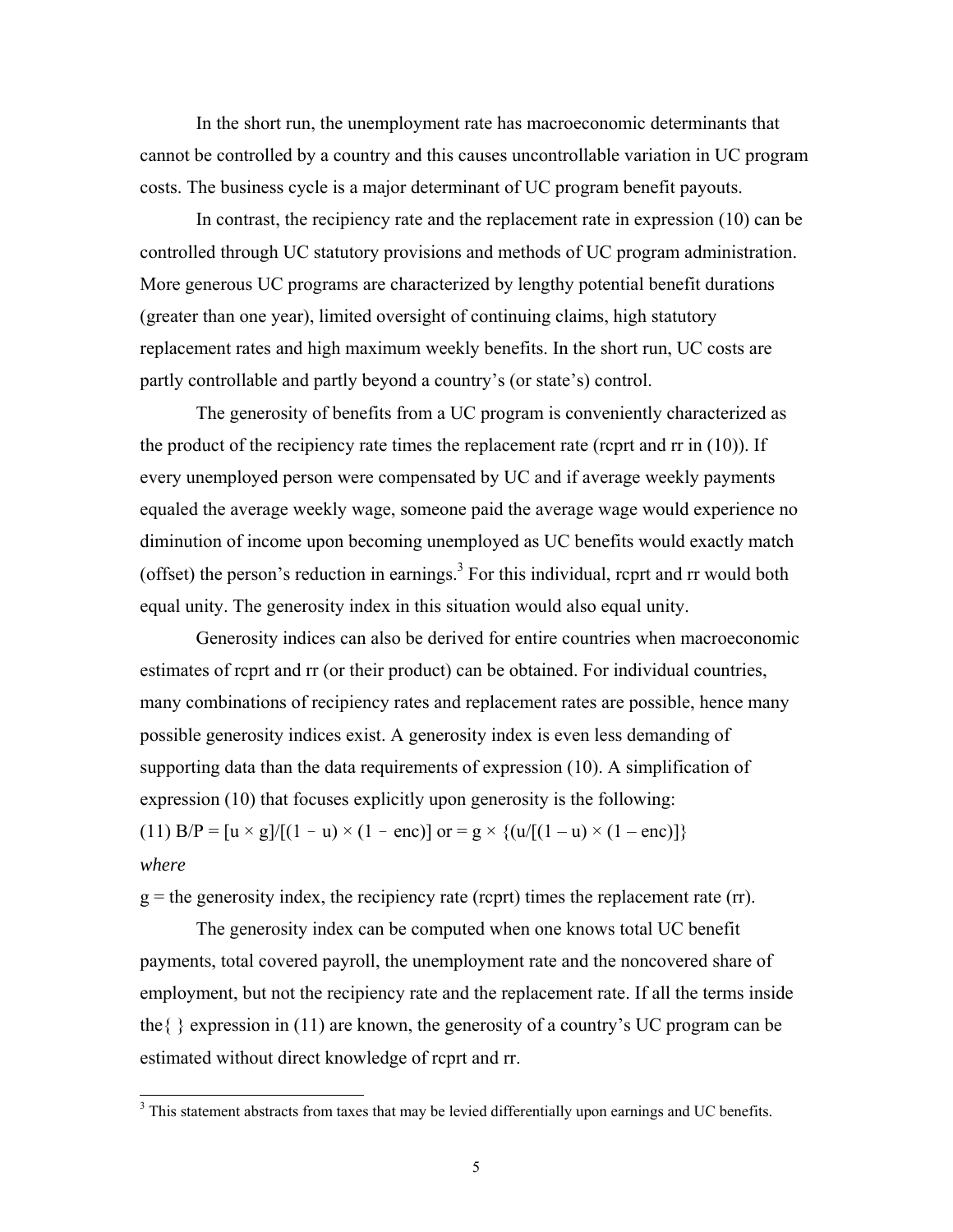In the short run, the unemployment rate has macroeconomic determinants that cannot be controlled by a country and this causes uncontrollable variation in UC program costs. The business cycle is a major determinant of UC program benefit payouts.

In contrast, the recipiency rate and the replacement rate in expression (10) can be controlled through UC statutory provisions and methods of UC program administration. More generous UC programs are characterized by lengthy potential benefit durations (greater than one year), limited oversight of continuing claims, high statutory replacement rates and high maximum weekly benefits. In the short run, UC costs are partly controllable and partly beyond a country's (or state's) control.

The generosity of benefits from a UC program is conveniently characterized as the product of the recipiency rate times the replacement rate (rcprt and rr in (10)). If every unemployed person were compensated by UC and if average weekly payments equaled the average weekly wage, someone paid the average wage would experience no diminution of income upon becoming unemployed as UC benefits would exactly match (offset) the person's reduction in earnings.<sup>3</sup> For this individual, rcprt and  $rr$  would both equal unity. The generosity index in this situation would also equal unity.

Generosity indices can also be derived for entire countries when macroeconomic estimates of rcprt and rr (or their product) can be obtained. For individual countries, many combinations of recipiency rates and replacement rates are possible, hence many possible generosity indices exist. A generosity index is even less demanding of supporting data than the data requirements of expression (10). A simplification of expression (10) that focuses explicitly upon generosity is the following: (11)  $B/P = [u \times g]/[(1 - u) \times (1 - enc)]$  or  $= g \times \{(u/[(1 - u) \times (1 - enc)]\})$ 

## *where*

 $\overline{a}$ 

 $g =$  the generosity index, the recipiency rate (rcprt) times the replacement rate (rr).

The generosity index can be computed when one knows total UC benefit payments, total covered payroll, the unemployment rate and the noncovered share of employment, but not the recipiency rate and the replacement rate. If all the terms inside the{ } expression in (11) are known, the generosity of a country's UC program can be estimated without direct knowledge of rcprt and rr.

 $3$  This statement abstracts from taxes that may be levied differentially upon earnings and UC benefits.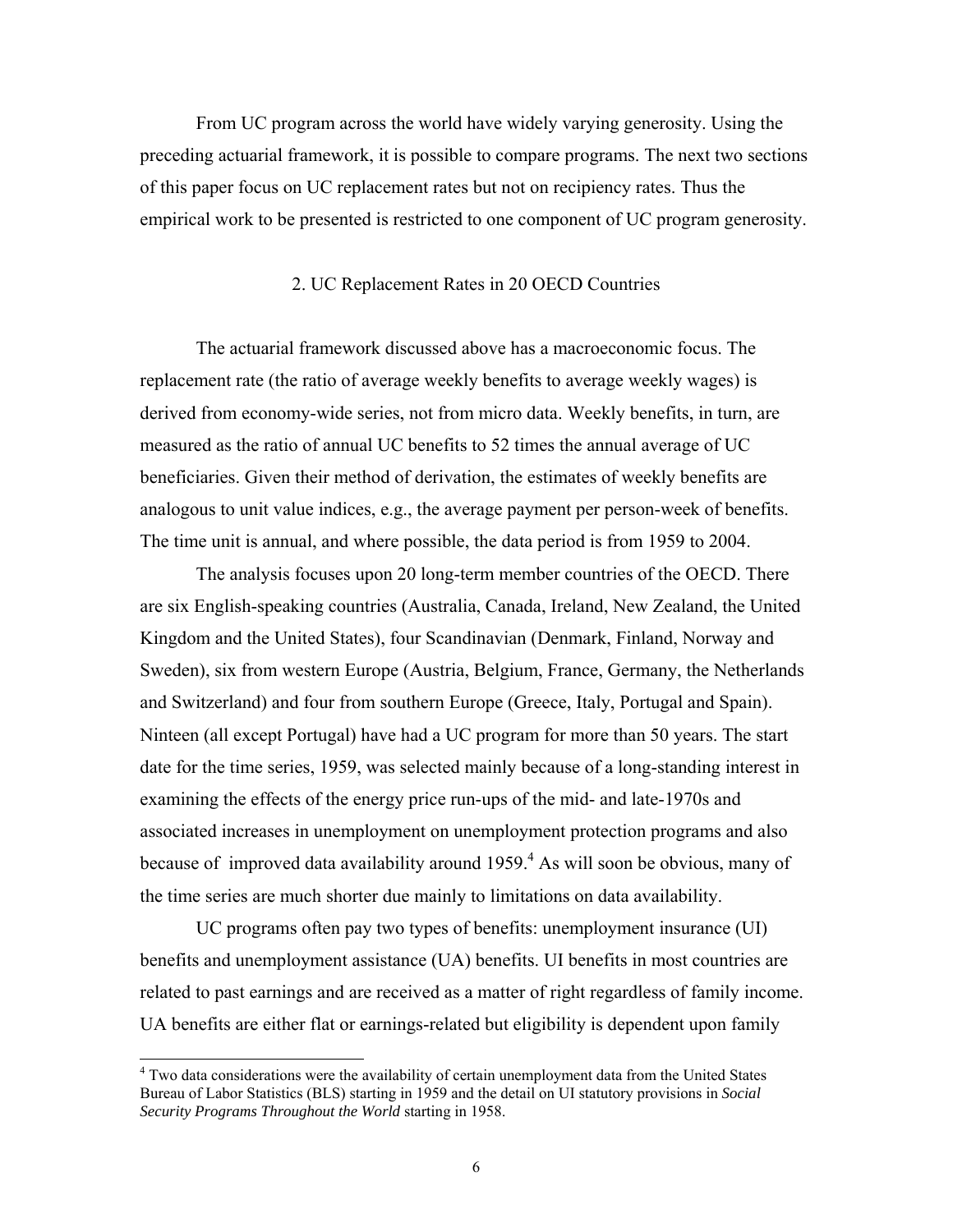From UC program across the world have widely varying generosity. Using the preceding actuarial framework, it is possible to compare programs. The next two sections of this paper focus on UC replacement rates but not on recipiency rates. Thus the empirical work to be presented is restricted to one component of UC program generosity.

### 2. UC Replacement Rates in 20 OECD Countries

The actuarial framework discussed above has a macroeconomic focus. The replacement rate (the ratio of average weekly benefits to average weekly wages) is derived from economy-wide series, not from micro data. Weekly benefits, in turn, are measured as the ratio of annual UC benefits to 52 times the annual average of UC beneficiaries. Given their method of derivation, the estimates of weekly benefits are analogous to unit value indices, e.g., the average payment per person-week of benefits. The time unit is annual, and where possible, the data period is from 1959 to 2004.

The analysis focuses upon 20 long-term member countries of the OECD. There are six English-speaking countries (Australia, Canada, Ireland, New Zealand, the United Kingdom and the United States), four Scandinavian (Denmark, Finland, Norway and Sweden), six from western Europe (Austria, Belgium, France, Germany, the Netherlands and Switzerland) and four from southern Europe (Greece, Italy, Portugal and Spain). Ninteen (all except Portugal) have had a UC program for more than 50 years. The start date for the time series, 1959, was selected mainly because of a long-standing interest in examining the effects of the energy price run-ups of the mid- and late-1970s and associated increases in unemployment on unemployment protection programs and also because of improved data availability around  $1959<sup>4</sup>$ . As will soon be obvious, many of the time series are much shorter due mainly to limitations on data availability.

UC programs often pay two types of benefits: unemployment insurance (UI) benefits and unemployment assistance (UA) benefits. UI benefits in most countries are related to past earnings and are received as a matter of right regardless of family income. UA benefits are either flat or earnings-related but eligibility is dependent upon family

<sup>&</sup>lt;sup>4</sup> Two data considerations were the availability of certain unemployment data from the United States Bureau of Labor Statistics (BLS) starting in 1959 and the detail on UI statutory provisions in *Social Security Programs Throughout the World* starting in 1958.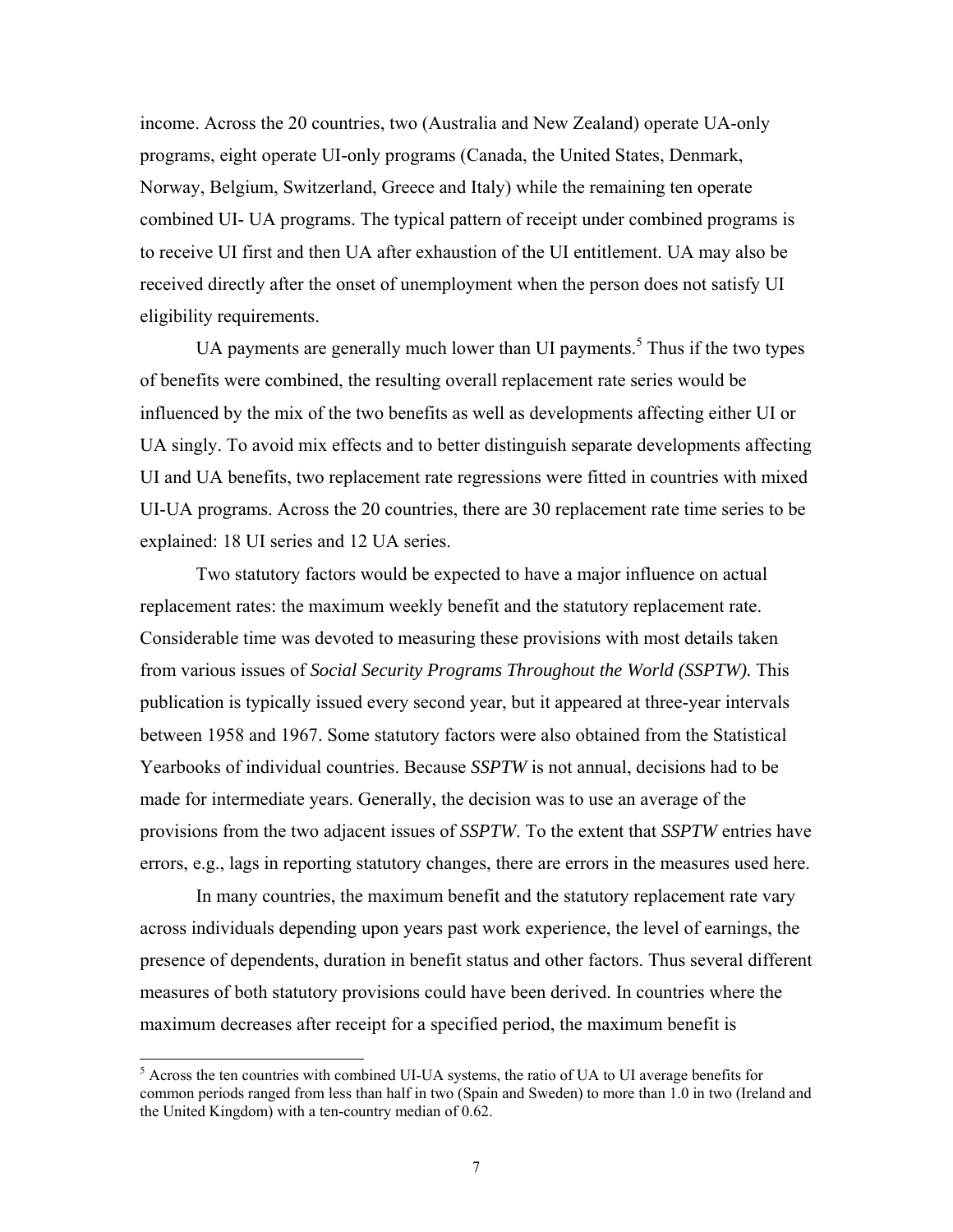income. Across the 20 countries, two (Australia and New Zealand) operate UA-only programs, eight operate UI-only programs (Canada, the United States, Denmark, Norway, Belgium, Switzerland, Greece and Italy) while the remaining ten operate combined UI- UA programs. The typical pattern of receipt under combined programs is to receive UI first and then UA after exhaustion of the UI entitlement. UA may also be received directly after the onset of unemployment when the person does not satisfy UI eligibility requirements.

UA payments are generally much lower than UI payments.<sup>5</sup> Thus if the two types of benefits were combined, the resulting overall replacement rate series would be influenced by the mix of the two benefits as well as developments affecting either UI or UA singly. To avoid mix effects and to better distinguish separate developments affecting UI and UA benefits, two replacement rate regressions were fitted in countries with mixed UI-UA programs. Across the 20 countries, there are 30 replacement rate time series to be explained: 18 UI series and 12 UA series.

Two statutory factors would be expected to have a major influence on actual replacement rates: the maximum weekly benefit and the statutory replacement rate. Considerable time was devoted to measuring these provisions with most details taken from various issues of *Social Security Programs Throughout the World (SSPTW).* This publication is typically issued every second year, but it appeared at three-year intervals between 1958 and 1967. Some statutory factors were also obtained from the Statistical Yearbooks of individual countries. Because *SSPTW* is not annual, decisions had to be made for intermediate years. Generally, the decision was to use an average of the provisions from the two adjacent issues of *SSPTW*. To the extent that *SSPTW* entries have errors, e.g., lags in reporting statutory changes, there are errors in the measures used here.

In many countries, the maximum benefit and the statutory replacement rate vary across individuals depending upon years past work experience, the level of earnings, the presence of dependents, duration in benefit status and other factors. Thus several different measures of both statutory provisions could have been derived. In countries where the maximum decreases after receipt for a specified period, the maximum benefit is

<sup>&</sup>lt;sup>5</sup> Across the ten countries with combined UI-UA systems, the ratio of UA to UI average benefits for common periods ranged from less than half in two (Spain and Sweden) to more than 1.0 in two (Ireland and the United Kingdom) with a ten-country median of 0.62.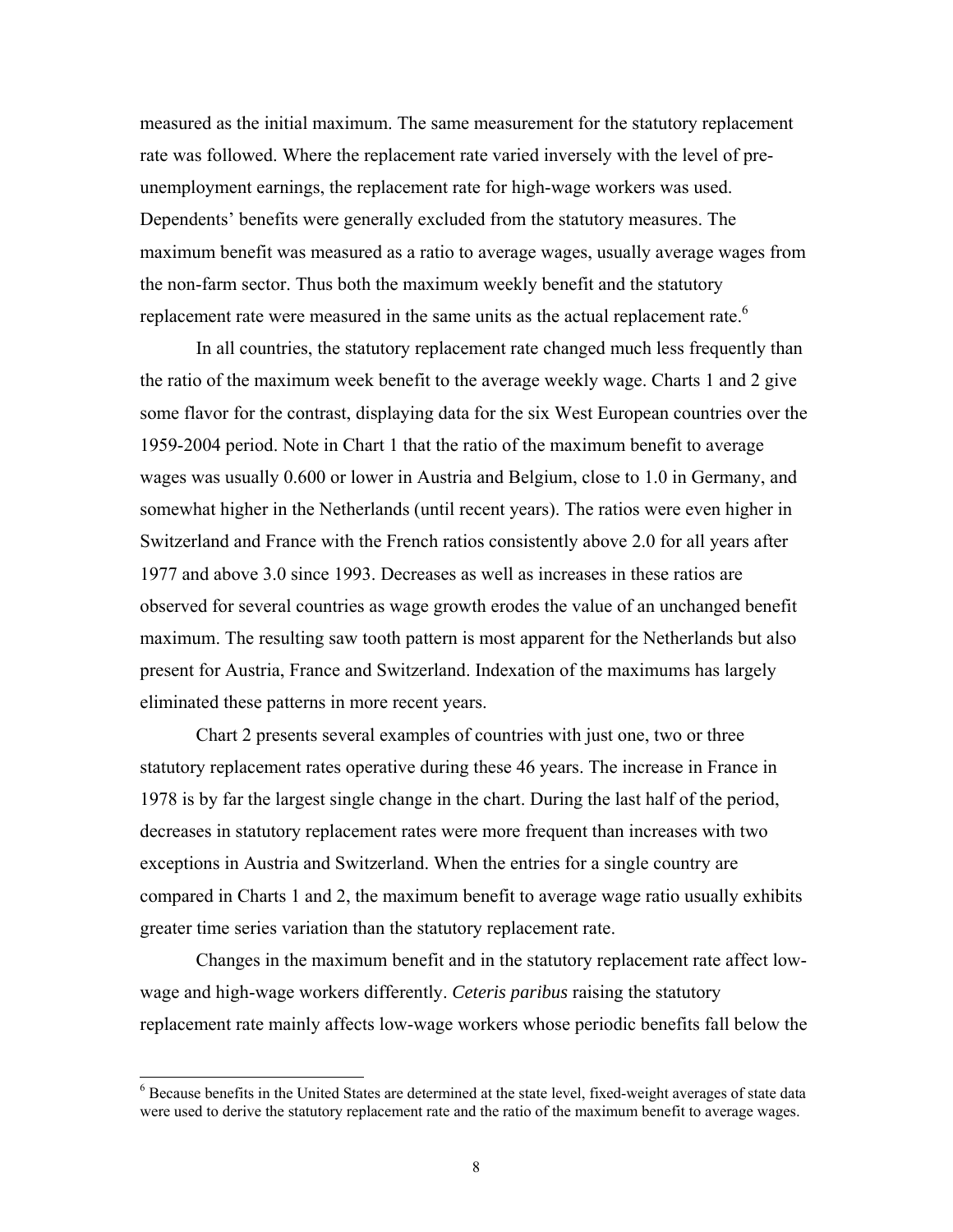measured as the initial maximum. The same measurement for the statutory replacement rate was followed. Where the replacement rate varied inversely with the level of preunemployment earnings, the replacement rate for high-wage workers was used. Dependents' benefits were generally excluded from the statutory measures. The maximum benefit was measured as a ratio to average wages, usually average wages from the non-farm sector. Thus both the maximum weekly benefit and the statutory replacement rate were measured in the same units as the actual replacement rate.<sup>6</sup>

In all countries, the statutory replacement rate changed much less frequently than the ratio of the maximum week benefit to the average weekly wage. Charts 1 and 2 give some flavor for the contrast, displaying data for the six West European countries over the 1959-2004 period. Note in Chart 1 that the ratio of the maximum benefit to average wages was usually 0.600 or lower in Austria and Belgium, close to 1.0 in Germany, and somewhat higher in the Netherlands (until recent years). The ratios were even higher in Switzerland and France with the French ratios consistently above 2.0 for all years after 1977 and above 3.0 since 1993. Decreases as well as increases in these ratios are observed for several countries as wage growth erodes the value of an unchanged benefit maximum. The resulting saw tooth pattern is most apparent for the Netherlands but also present for Austria, France and Switzerland. Indexation of the maximums has largely eliminated these patterns in more recent years.

Chart 2 presents several examples of countries with just one, two or three statutory replacement rates operative during these 46 years. The increase in France in 1978 is by far the largest single change in the chart. During the last half of the period, decreases in statutory replacement rates were more frequent than increases with two exceptions in Austria and Switzerland. When the entries for a single country are compared in Charts 1 and 2, the maximum benefit to average wage ratio usually exhibits greater time series variation than the statutory replacement rate.

Changes in the maximum benefit and in the statutory replacement rate affect lowwage and high-wage workers differently. *Ceteris paribus* raising the statutory replacement rate mainly affects low-wage workers whose periodic benefits fall below the

 $\overline{a}$ 

<sup>&</sup>lt;sup>6</sup> Because benefits in the United States are determined at the state level, fixed-weight averages of state data were used to derive the statutory replacement rate and the ratio of the maximum benefit to average wages.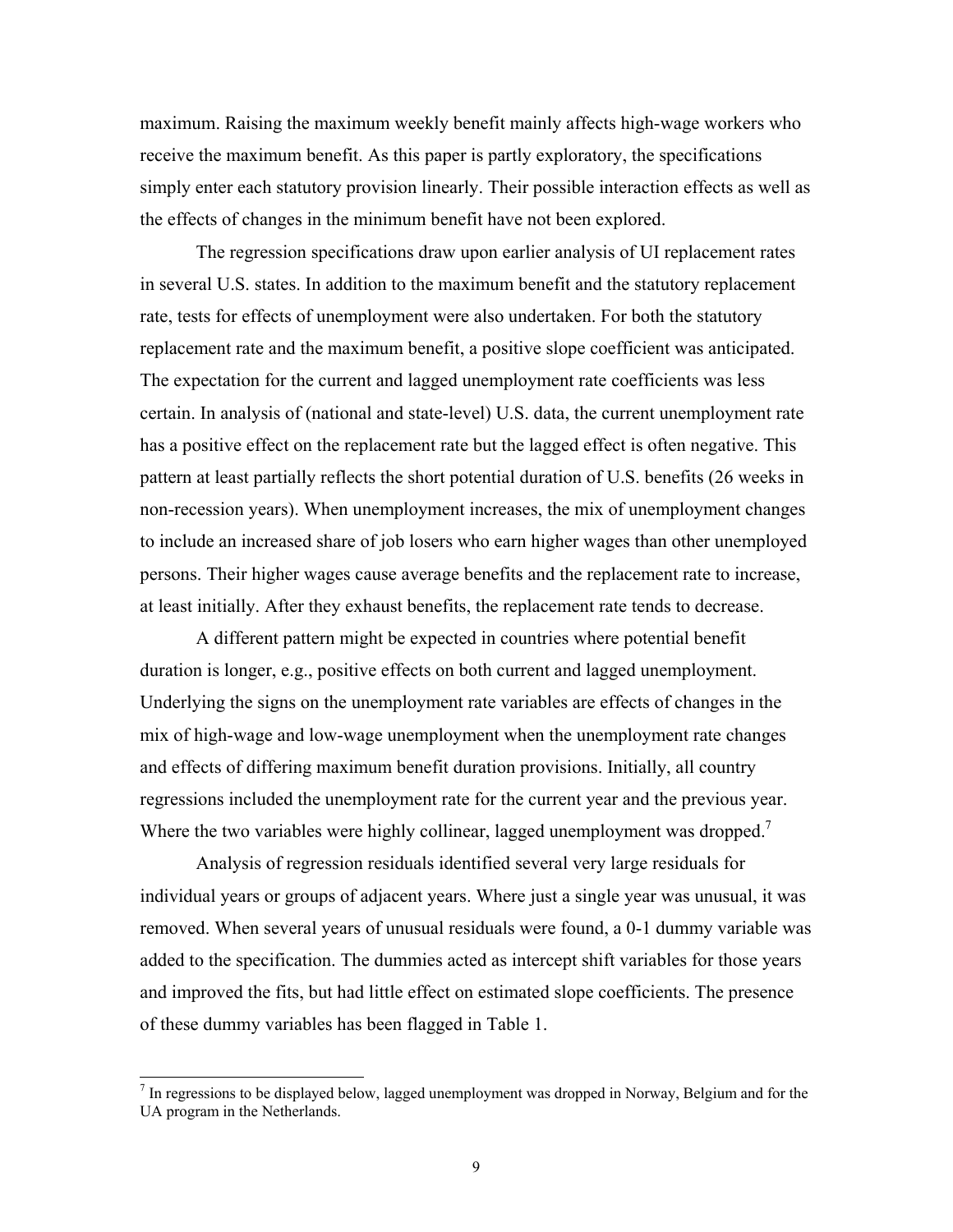maximum. Raising the maximum weekly benefit mainly affects high-wage workers who receive the maximum benefit. As this paper is partly exploratory, the specifications simply enter each statutory provision linearly. Their possible interaction effects as well as the effects of changes in the minimum benefit have not been explored.

The regression specifications draw upon earlier analysis of UI replacement rates in several U.S. states. In addition to the maximum benefit and the statutory replacement rate, tests for effects of unemployment were also undertaken. For both the statutory replacement rate and the maximum benefit, a positive slope coefficient was anticipated. The expectation for the current and lagged unemployment rate coefficients was less certain. In analysis of (national and state-level) U.S. data, the current unemployment rate has a positive effect on the replacement rate but the lagged effect is often negative. This pattern at least partially reflects the short potential duration of U.S. benefits (26 weeks in non-recession years). When unemployment increases, the mix of unemployment changes to include an increased share of job losers who earn higher wages than other unemployed persons. Their higher wages cause average benefits and the replacement rate to increase, at least initially. After they exhaust benefits, the replacement rate tends to decrease.

A different pattern might be expected in countries where potential benefit duration is longer, e.g., positive effects on both current and lagged unemployment. Underlying the signs on the unemployment rate variables are effects of changes in the mix of high-wage and low-wage unemployment when the unemployment rate changes and effects of differing maximum benefit duration provisions. Initially, all country regressions included the unemployment rate for the current year and the previous year. Where the two variables were highly collinear, lagged unemployment was dropped.<sup>7</sup>

Analysis of regression residuals identified several very large residuals for individual years or groups of adjacent years. Where just a single year was unusual, it was removed. When several years of unusual residuals were found, a 0-1 dummy variable was added to the specification. The dummies acted as intercept shift variables for those years and improved the fits, but had little effect on estimated slope coefficients. The presence of these dummy variables has been flagged in Table 1.

 $\overline{a}$ 

 $<sup>7</sup>$  In regressions to be displayed below, lagged unemployment was dropped in Norway, Belgium and for the</sup> UA program in the Netherlands.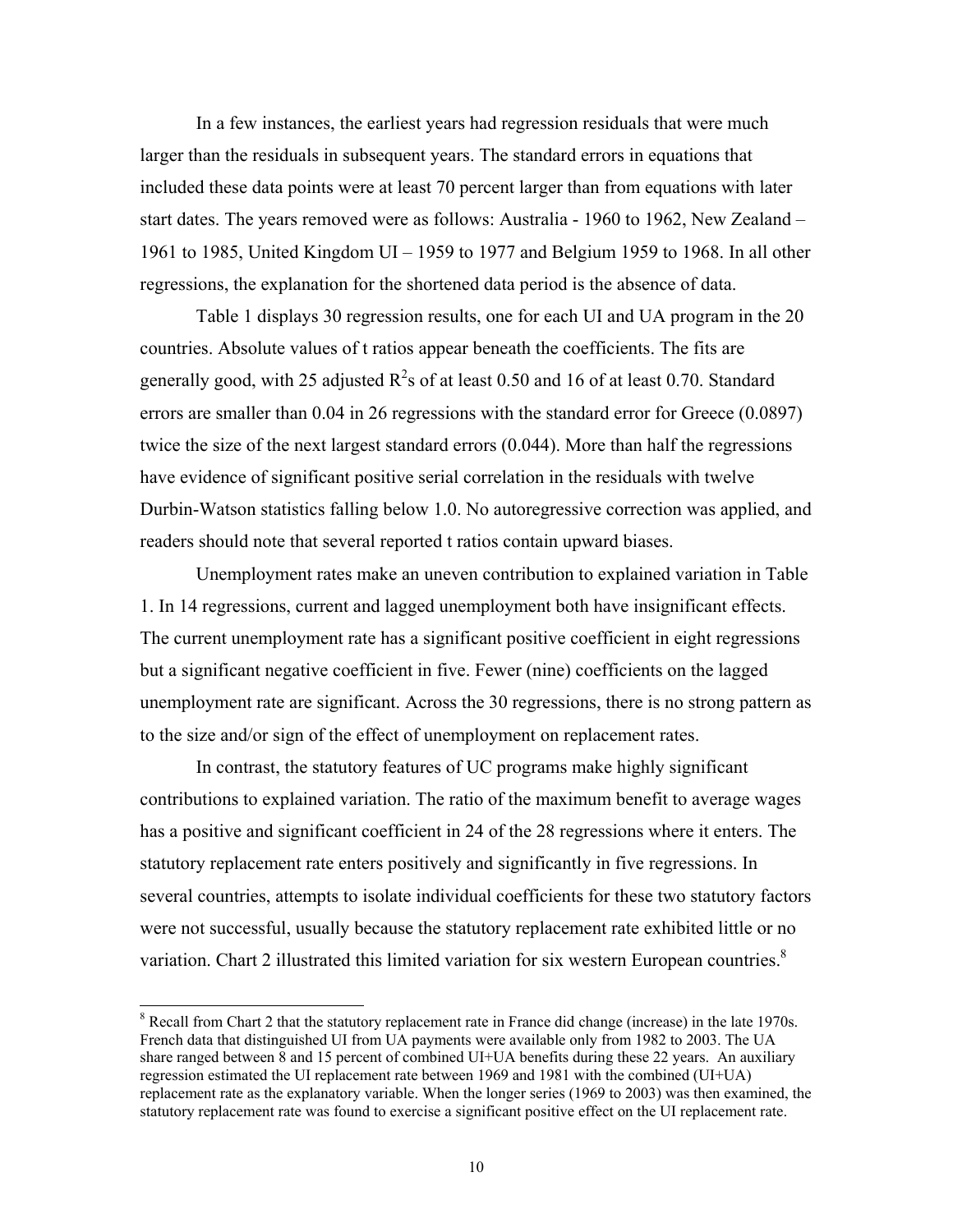In a few instances, the earliest years had regression residuals that were much larger than the residuals in subsequent years. The standard errors in equations that included these data points were at least 70 percent larger than from equations with later start dates. The years removed were as follows: Australia - 1960 to 1962, New Zealand – 1961 to 1985, United Kingdom UI – 1959 to 1977 and Belgium 1959 to 1968. In all other regressions, the explanation for the shortened data period is the absence of data.

Table 1 displays 30 regression results, one for each UI and UA program in the 20 countries. Absolute values of t ratios appear beneath the coefficients. The fits are generally good, with 25 adjusted  $R^2$ s of at least 0.50 and 16 of at least 0.70. Standard errors are smaller than 0.04 in 26 regressions with the standard error for Greece (0.0897) twice the size of the next largest standard errors (0.044). More than half the regressions have evidence of significant positive serial correlation in the residuals with twelve Durbin-Watson statistics falling below 1.0. No autoregressive correction was applied, and readers should note that several reported t ratios contain upward biases.

Unemployment rates make an uneven contribution to explained variation in Table 1. In 14 regressions, current and lagged unemployment both have insignificant effects. The current unemployment rate has a significant positive coefficient in eight regressions but a significant negative coefficient in five. Fewer (nine) coefficients on the lagged unemployment rate are significant. Across the 30 regressions, there is no strong pattern as to the size and/or sign of the effect of unemployment on replacement rates.

In contrast, the statutory features of UC programs make highly significant contributions to explained variation. The ratio of the maximum benefit to average wages has a positive and significant coefficient in 24 of the 28 regressions where it enters. The statutory replacement rate enters positively and significantly in five regressions. In several countries, attempts to isolate individual coefficients for these two statutory factors were not successful, usually because the statutory replacement rate exhibited little or no variation. Chart 2 illustrated this limited variation for six western European countries.<sup>8</sup>

l

<sup>&</sup>lt;sup>8</sup> Recall from Chart 2 that the statutory replacement rate in France did change (increase) in the late 1970s. French data that distinguished UI from UA payments were available only from 1982 to 2003. The UA share ranged between 8 and 15 percent of combined UI+UA benefits during these 22 years. An auxiliary regression estimated the UI replacement rate between 1969 and 1981 with the combined (UI+UA) replacement rate as the explanatory variable. When the longer series (1969 to 2003) was then examined, the statutory replacement rate was found to exercise a significant positive effect on the UI replacement rate.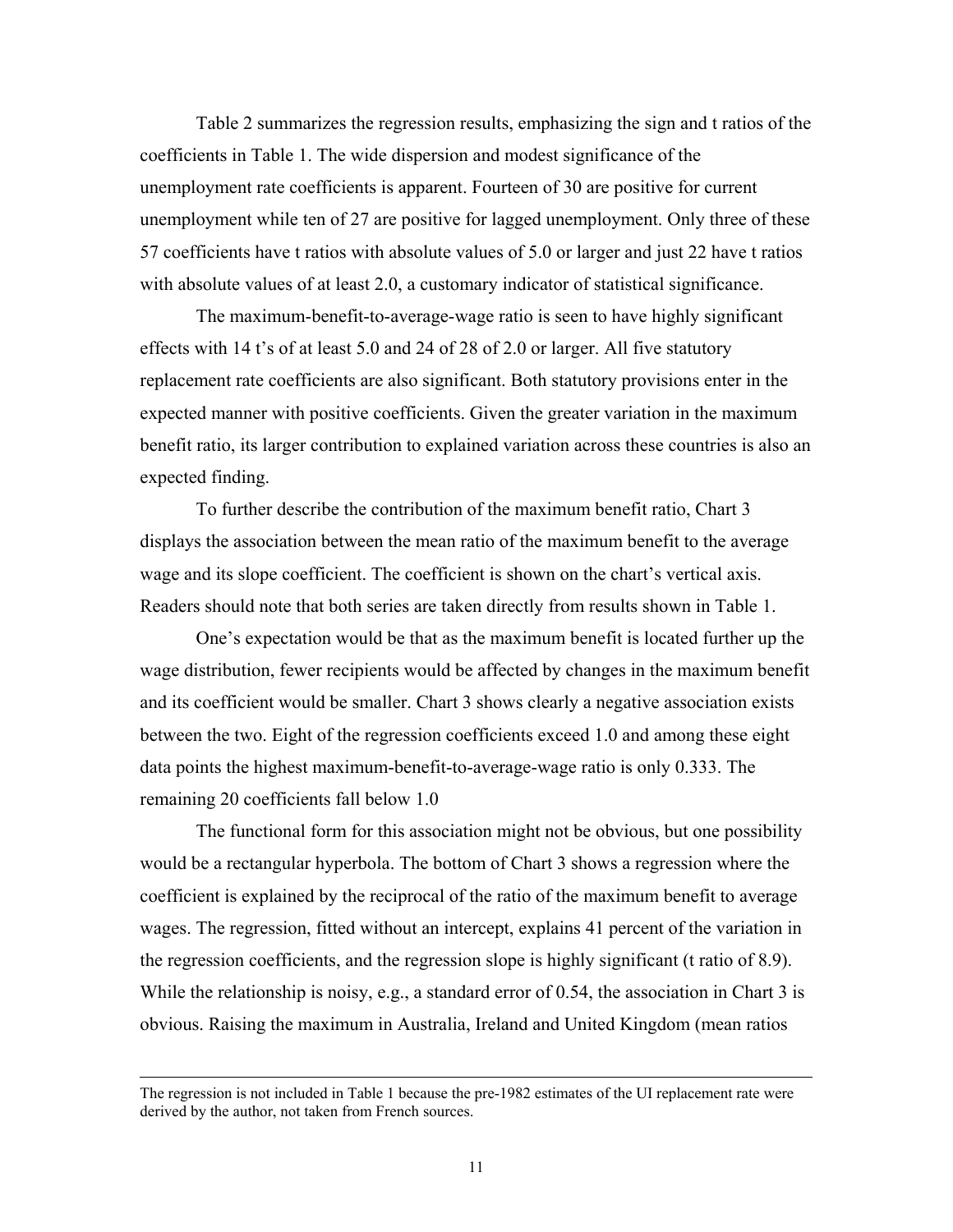Table 2 summarizes the regression results, emphasizing the sign and t ratios of the coefficients in Table 1. The wide dispersion and modest significance of the unemployment rate coefficients is apparent. Fourteen of 30 are positive for current unemployment while ten of 27 are positive for lagged unemployment. Only three of these 57 coefficients have t ratios with absolute values of 5.0 or larger and just 22 have t ratios with absolute values of at least 2.0, a customary indicator of statistical significance.

The maximum-benefit-to-average-wage ratio is seen to have highly significant effects with 14 t's of at least 5.0 and 24 of 28 of 2.0 or larger. All five statutory replacement rate coefficients are also significant. Both statutory provisions enter in the expected manner with positive coefficients. Given the greater variation in the maximum benefit ratio, its larger contribution to explained variation across these countries is also an expected finding.

To further describe the contribution of the maximum benefit ratio, Chart 3 displays the association between the mean ratio of the maximum benefit to the average wage and its slope coefficient. The coefficient is shown on the chart's vertical axis. Readers should note that both series are taken directly from results shown in Table 1.

One's expectation would be that as the maximum benefit is located further up the wage distribution, fewer recipients would be affected by changes in the maximum benefit and its coefficient would be smaller. Chart 3 shows clearly a negative association exists between the two. Eight of the regression coefficients exceed 1.0 and among these eight data points the highest maximum-benefit-to-average-wage ratio is only 0.333. The remaining 20 coefficients fall below 1.0

The functional form for this association might not be obvious, but one possibility would be a rectangular hyperbola. The bottom of Chart 3 shows a regression where the coefficient is explained by the reciprocal of the ratio of the maximum benefit to average wages. The regression, fitted without an intercept, explains 41 percent of the variation in the regression coefficients, and the regression slope is highly significant (t ratio of 8.9). While the relationship is noisy, e.g., a standard error of 0.54, the association in Chart 3 is obvious. Raising the maximum in Australia, Ireland and United Kingdom (mean ratios

 $\overline{\phantom{a}}$ 

The regression is not included in Table 1 because the pre-1982 estimates of the UI replacement rate were derived by the author, not taken from French sources.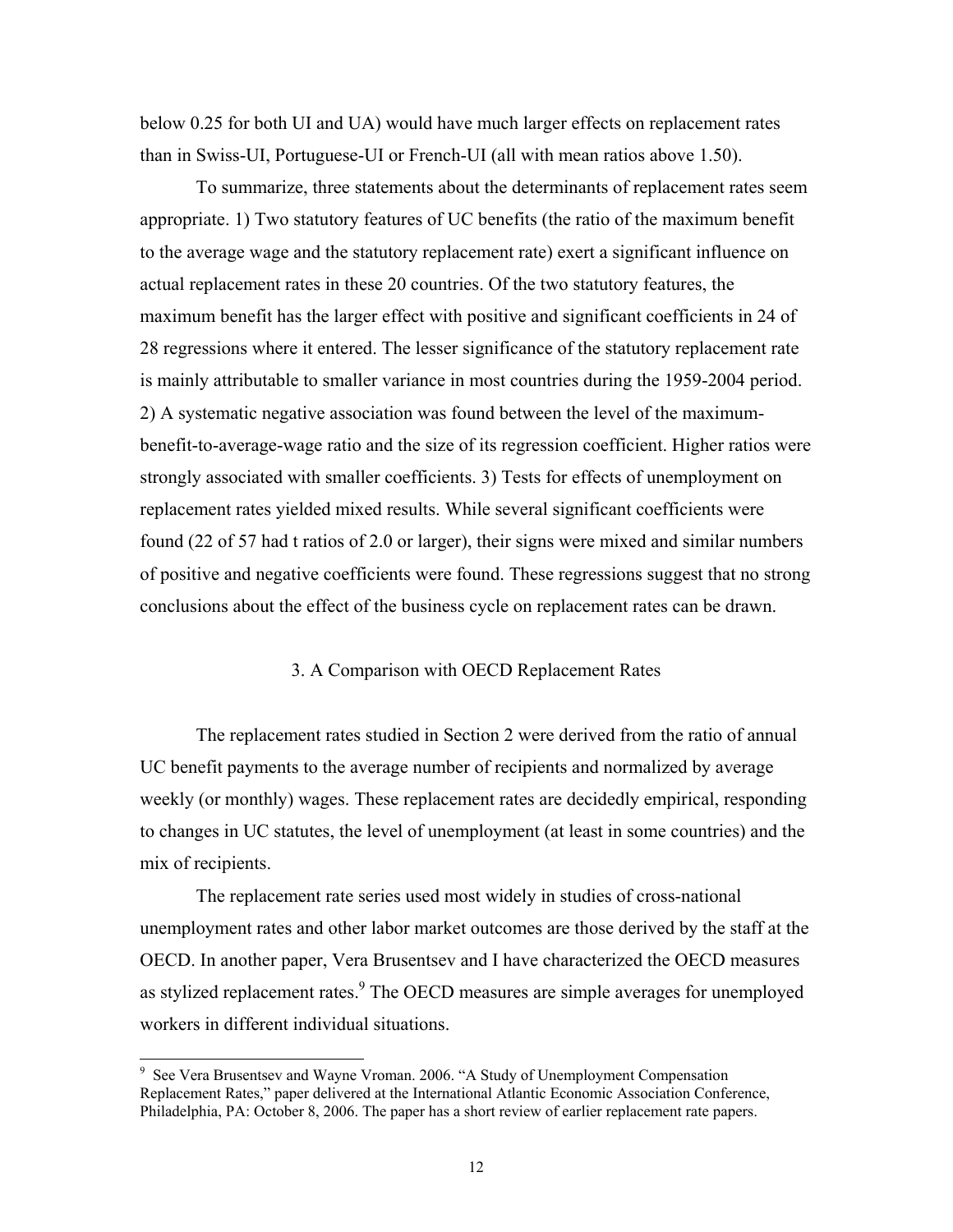below 0.25 for both UI and UA) would have much larger effects on replacement rates than in Swiss-UI, Portuguese-UI or French-UI (all with mean ratios above 1.50).

To summarize, three statements about the determinants of replacement rates seem appropriate. 1) Two statutory features of UC benefits (the ratio of the maximum benefit to the average wage and the statutory replacement rate) exert a significant influence on actual replacement rates in these 20 countries. Of the two statutory features, the maximum benefit has the larger effect with positive and significant coefficients in 24 of 28 regressions where it entered. The lesser significance of the statutory replacement rate is mainly attributable to smaller variance in most countries during the 1959-2004 period. 2) A systematic negative association was found between the level of the maximumbenefit-to-average-wage ratio and the size of its regression coefficient. Higher ratios were strongly associated with smaller coefficients. 3) Tests for effects of unemployment on replacement rates yielded mixed results. While several significant coefficients were found (22 of 57 had t ratios of 2.0 or larger), their signs were mixed and similar numbers of positive and negative coefficients were found. These regressions suggest that no strong conclusions about the effect of the business cycle on replacement rates can be drawn.

### 3. A Comparison with OECD Replacement Rates

The replacement rates studied in Section 2 were derived from the ratio of annual UC benefit payments to the average number of recipients and normalized by average weekly (or monthly) wages. These replacement rates are decidedly empirical, responding to changes in UC statutes, the level of unemployment (at least in some countries) and the mix of recipients.

The replacement rate series used most widely in studies of cross-national unemployment rates and other labor market outcomes are those derived by the staff at the OECD. In another paper, Vera Brusentsev and I have characterized the OECD measures as stylized replacement rates. $9$  The OECD measures are simple averages for unemployed workers in different individual situations.

l

<sup>&</sup>lt;sup>9</sup> See Vera Brusentsev and Wayne Vroman. 2006. "A Study of Unemployment Compensation Replacement Rates," paper delivered at the International Atlantic Economic Association Conference, Philadelphia, PA: October 8, 2006. The paper has a short review of earlier replacement rate papers.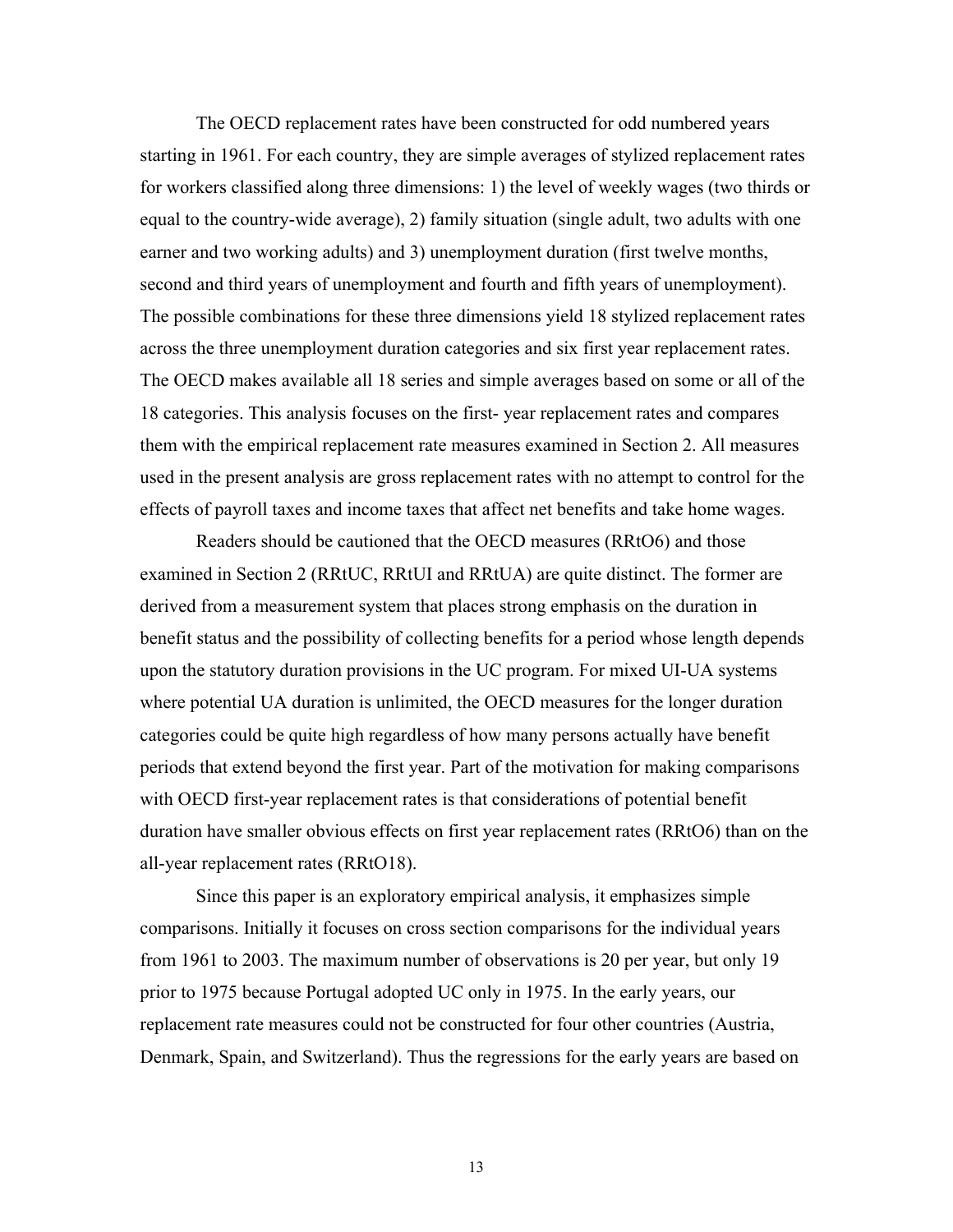The OECD replacement rates have been constructed for odd numbered years starting in 1961. For each country, they are simple averages of stylized replacement rates for workers classified along three dimensions: 1) the level of weekly wages (two thirds or equal to the country-wide average), 2) family situation (single adult, two adults with one earner and two working adults) and 3) unemployment duration (first twelve months, second and third years of unemployment and fourth and fifth years of unemployment). The possible combinations for these three dimensions yield 18 stylized replacement rates across the three unemployment duration categories and six first year replacement rates. The OECD makes available all 18 series and simple averages based on some or all of the 18 categories. This analysis focuses on the first- year replacement rates and compares them with the empirical replacement rate measures examined in Section 2. All measures used in the present analysis are gross replacement rates with no attempt to control for the effects of payroll taxes and income taxes that affect net benefits and take home wages.

Readers should be cautioned that the OECD measures (RRtO6) and those examined in Section 2 (RRtUC, RRtUI and RRtUA) are quite distinct. The former are derived from a measurement system that places strong emphasis on the duration in benefit status and the possibility of collecting benefits for a period whose length depends upon the statutory duration provisions in the UC program. For mixed UI-UA systems where potential UA duration is unlimited, the OECD measures for the longer duration categories could be quite high regardless of how many persons actually have benefit periods that extend beyond the first year. Part of the motivation for making comparisons with OECD first-year replacement rates is that considerations of potential benefit duration have smaller obvious effects on first year replacement rates (RRtO6) than on the all-year replacement rates (RRtO18).

Since this paper is an exploratory empirical analysis, it emphasizes simple comparisons. Initially it focuses on cross section comparisons for the individual years from 1961 to 2003. The maximum number of observations is 20 per year, but only 19 prior to 1975 because Portugal adopted UC only in 1975. In the early years, our replacement rate measures could not be constructed for four other countries (Austria, Denmark, Spain, and Switzerland). Thus the regressions for the early years are based on

13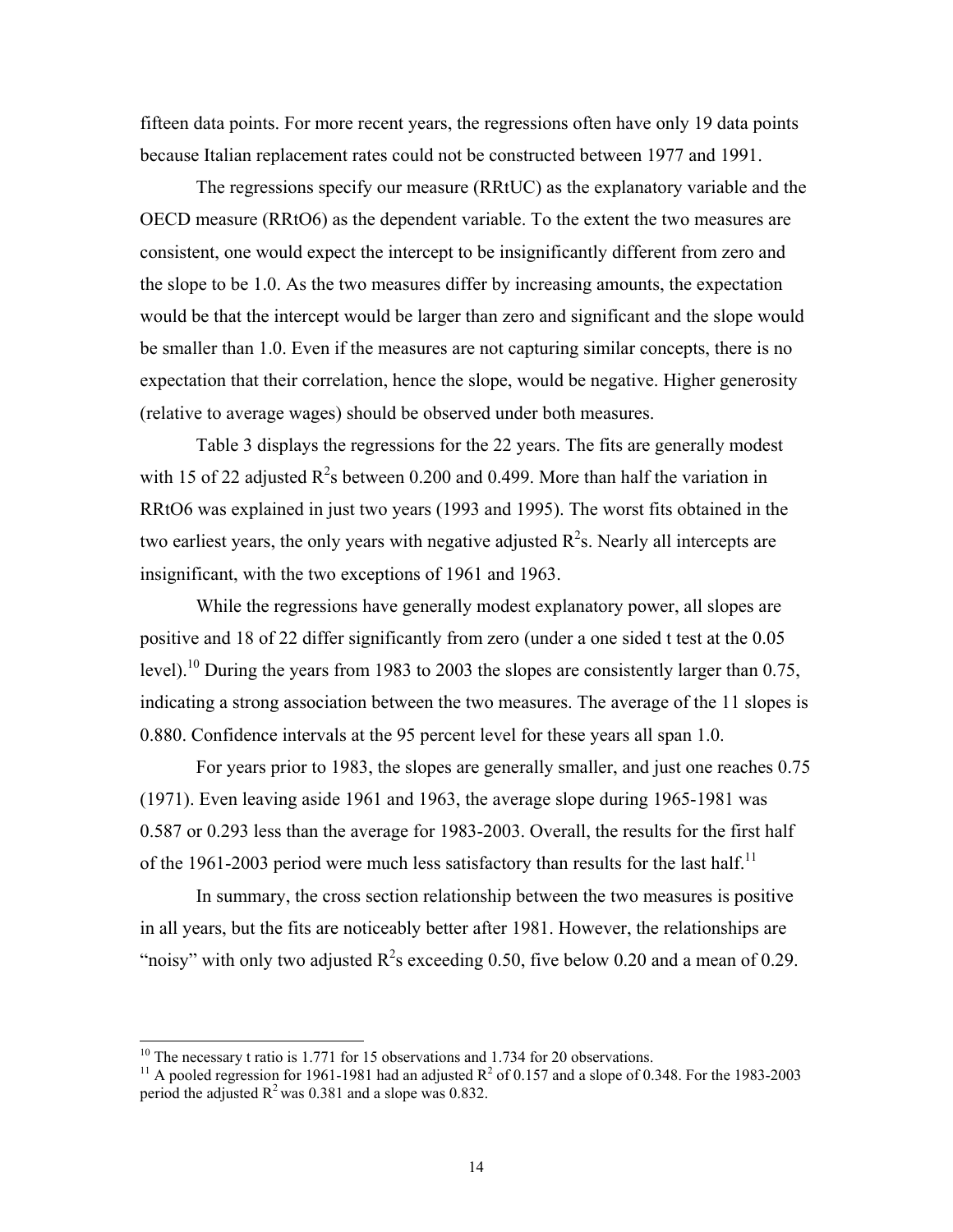fifteen data points. For more recent years, the regressions often have only 19 data points because Italian replacement rates could not be constructed between 1977 and 1991.

The regressions specify our measure (RRtUC) as the explanatory variable and the OECD measure (RRtO6) as the dependent variable. To the extent the two measures are consistent, one would expect the intercept to be insignificantly different from zero and the slope to be 1.0. As the two measures differ by increasing amounts, the expectation would be that the intercept would be larger than zero and significant and the slope would be smaller than 1.0. Even if the measures are not capturing similar concepts, there is no expectation that their correlation, hence the slope, would be negative. Higher generosity (relative to average wages) should be observed under both measures.

 Table 3 displays the regressions for the 22 years. The fits are generally modest with 15 of 22 adjusted  $R^2$ s between 0.200 and 0.499. More than half the variation in RRtO6 was explained in just two years (1993 and 1995). The worst fits obtained in the two earliest years, the only years with negative adjusted  $R^2$ s. Nearly all intercepts are insignificant, with the two exceptions of 1961 and 1963.

While the regressions have generally modest explanatory power, all slopes are positive and 18 of 22 differ significantly from zero (under a one sided t test at the 0.05 level).<sup>10</sup> During the years from 1983 to 2003 the slopes are consistently larger than 0.75, indicating a strong association between the two measures. The average of the 11 slopes is 0.880. Confidence intervals at the 95 percent level for these years all span 1.0.

For years prior to 1983, the slopes are generally smaller, and just one reaches 0.75 (1971). Even leaving aside 1961 and 1963, the average slope during 1965-1981 was 0.587 or 0.293 less than the average for 1983-2003. Overall, the results for the first half of the 1961-2003 period were much less satisfactory than results for the last half.<sup>11</sup>

In summary, the cross section relationship between the two measures is positive in all years, but the fits are noticeably better after 1981. However, the relationships are "noisy" with only two adjusted  $R^2$ s exceeding 0.50, five below 0.20 and a mean of 0.29.

 $\overline{\phantom{a}}$ 

<sup>&</sup>lt;sup>10</sup> The necessary t ratio is 1.771 for 15 observations and 1.734 for 20 observations.<br><sup>11</sup> A pooled regression for 1961-1981 had an adjusted R<sup>2</sup> of 0.157 and a slope of 0.

<sup>&</sup>lt;sup>11</sup> A pooled regression for 1961-1981 had an adjusted  $R^2$  of 0.157 and a slope of 0.348. For the 1983-2003 period the adjusted  $R^2$  was 0.381 and a slope was 0.832.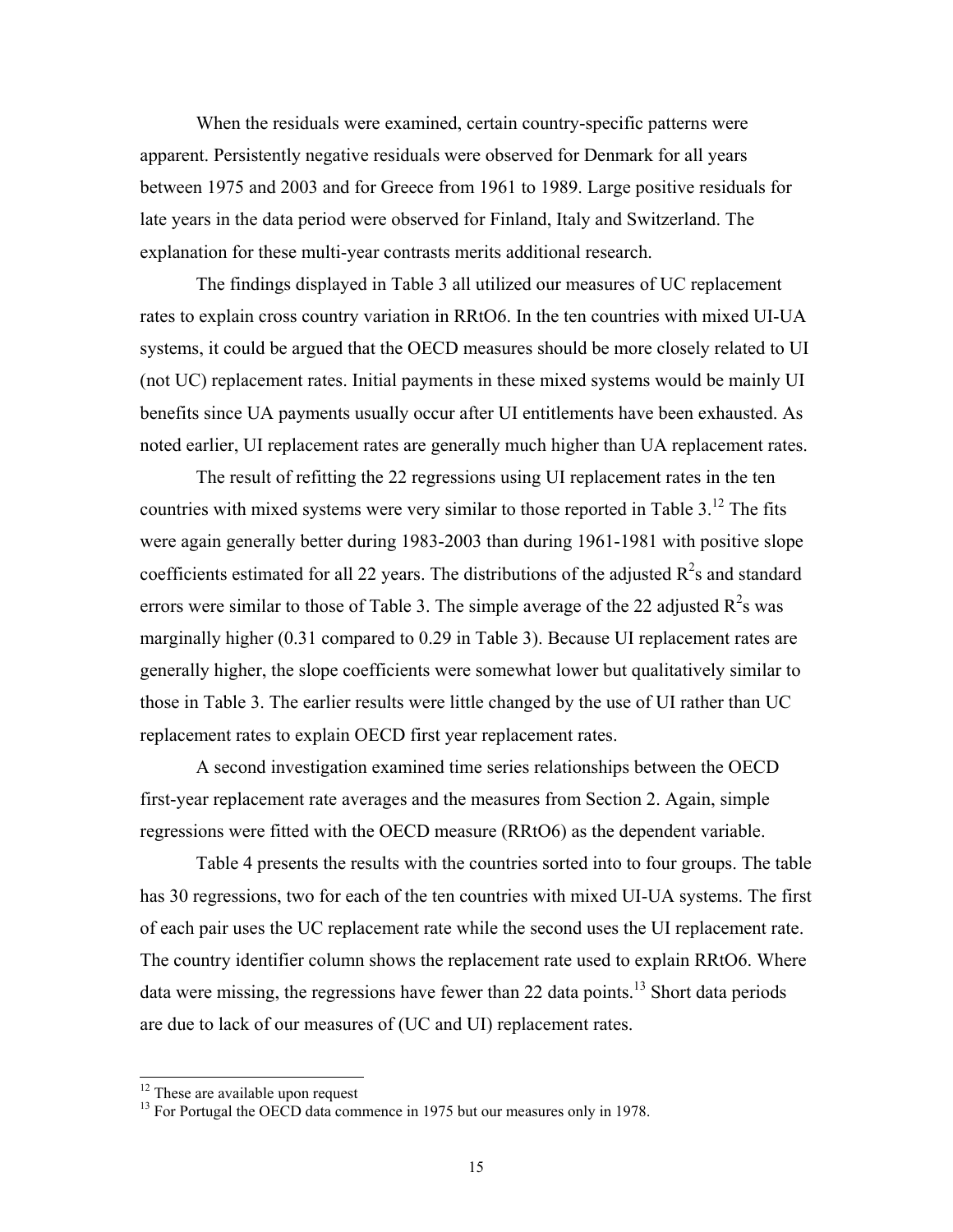When the residuals were examined, certain country-specific patterns were apparent. Persistently negative residuals were observed for Denmark for all years between 1975 and 2003 and for Greece from 1961 to 1989. Large positive residuals for late years in the data period were observed for Finland, Italy and Switzerland. The explanation for these multi-year contrasts merits additional research.

The findings displayed in Table 3 all utilized our measures of UC replacement rates to explain cross country variation in RRtO6. In the ten countries with mixed UI-UA systems, it could be argued that the OECD measures should be more closely related to UI (not UC) replacement rates. Initial payments in these mixed systems would be mainly UI benefits since UA payments usually occur after UI entitlements have been exhausted. As noted earlier, UI replacement rates are generally much higher than UA replacement rates.

The result of refitting the 22 regressions using UI replacement rates in the ten countries with mixed systems were very similar to those reported in Table  $3<sup>12</sup>$ . The fits were again generally better during 1983-2003 than during 1961-1981 with positive slope coefficients estimated for all 22 years. The distributions of the adjusted  $R^2$ s and standard errors were similar to those of Table 3. The simple average of the 22 adjusted  $R^2$ s was marginally higher (0.31 compared to 0.29 in Table 3). Because UI replacement rates are generally higher, the slope coefficients were somewhat lower but qualitatively similar to those in Table 3. The earlier results were little changed by the use of UI rather than UC replacement rates to explain OECD first year replacement rates.

A second investigation examined time series relationships between the OECD first-year replacement rate averages and the measures from Section 2. Again, simple regressions were fitted with the OECD measure (RRtO6) as the dependent variable.

Table 4 presents the results with the countries sorted into to four groups. The table has 30 regressions, two for each of the ten countries with mixed UI-UA systems. The first of each pair uses the UC replacement rate while the second uses the UI replacement rate. The country identifier column shows the replacement rate used to explain RRtO6. Where data were missing, the regressions have fewer than 22 data points.<sup>13</sup> Short data periods are due to lack of our measures of (UC and UI) replacement rates.

 $\overline{\phantom{a}}$ 

 $12$  These are available upon request

<sup>&</sup>lt;sup>13</sup> For Portugal the OECD data commence in 1975 but our measures only in 1978.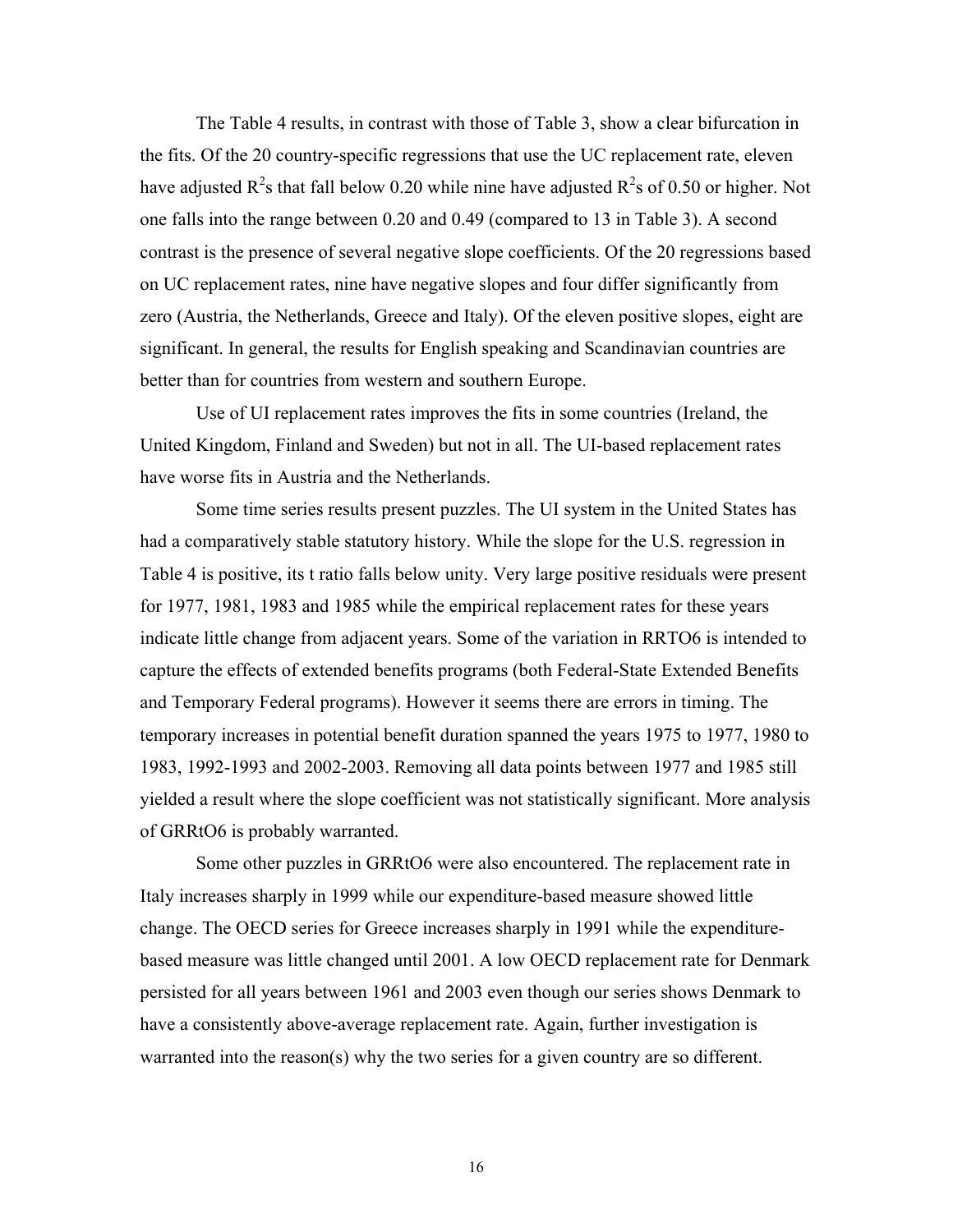The Table 4 results, in contrast with those of Table 3, show a clear bifurcation in the fits. Of the 20 country-specific regressions that use the UC replacement rate, eleven have adjusted  $R^2$ s that fall below 0.20 while nine have adjusted  $R^2$ s of 0.50 or higher. Not one falls into the range between 0.20 and 0.49 (compared to 13 in Table 3). A second contrast is the presence of several negative slope coefficients. Of the 20 regressions based on UC replacement rates, nine have negative slopes and four differ significantly from zero (Austria, the Netherlands, Greece and Italy). Of the eleven positive slopes, eight are significant. In general, the results for English speaking and Scandinavian countries are better than for countries from western and southern Europe.

Use of UI replacement rates improves the fits in some countries (Ireland, the United Kingdom, Finland and Sweden) but not in all. The UI-based replacement rates have worse fits in Austria and the Netherlands.

Some time series results present puzzles. The UI system in the United States has had a comparatively stable statutory history. While the slope for the U.S. regression in Table 4 is positive, its t ratio falls below unity. Very large positive residuals were present for 1977, 1981, 1983 and 1985 while the empirical replacement rates for these years indicate little change from adjacent years. Some of the variation in RRTO6 is intended to capture the effects of extended benefits programs (both Federal-State Extended Benefits and Temporary Federal programs). However it seems there are errors in timing. The temporary increases in potential benefit duration spanned the years 1975 to 1977, 1980 to 1983, 1992-1993 and 2002-2003. Removing all data points between 1977 and 1985 still yielded a result where the slope coefficient was not statistically significant. More analysis of GRRtO6 is probably warranted.

Some other puzzles in GRRtO6 were also encountered. The replacement rate in Italy increases sharply in 1999 while our expenditure-based measure showed little change. The OECD series for Greece increases sharply in 1991 while the expenditurebased measure was little changed until 2001. A low OECD replacement rate for Denmark persisted for all years between 1961 and 2003 even though our series shows Denmark to have a consistently above-average replacement rate. Again, further investigation is warranted into the reason(s) why the two series for a given country are so different.

16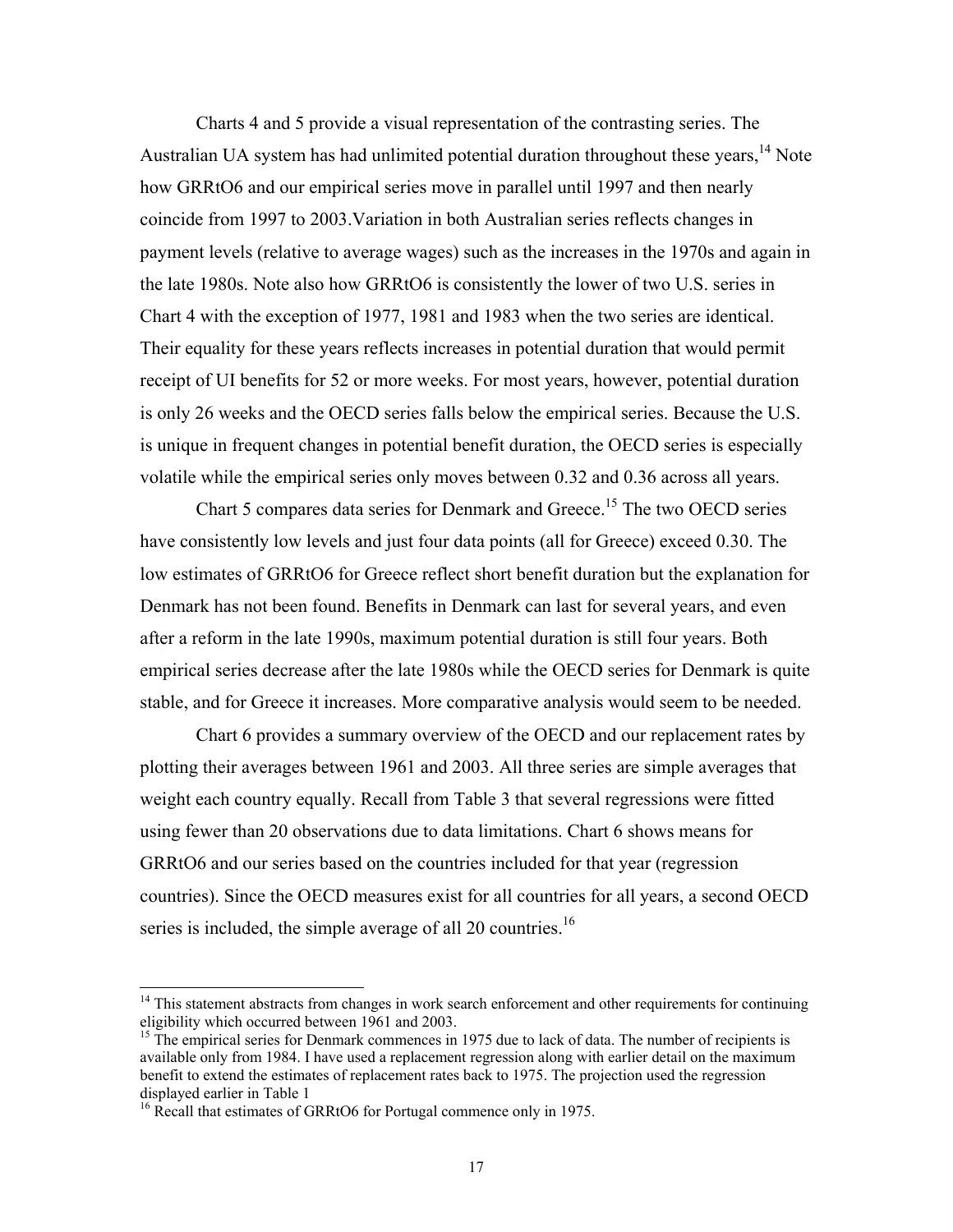Charts 4 and 5 provide a visual representation of the contrasting series. The Australian UA system has had unlimited potential duration throughout these years,  $^{14}$  Note how GRRtO6 and our empirical series move in parallel until 1997 and then nearly coincide from 1997 to 2003.Variation in both Australian series reflects changes in payment levels (relative to average wages) such as the increases in the 1970s and again in the late 1980s. Note also how GRRtO6 is consistently the lower of two U.S. series in Chart 4 with the exception of 1977, 1981 and 1983 when the two series are identical. Their equality for these years reflects increases in potential duration that would permit receipt of UI benefits for 52 or more weeks. For most years, however, potential duration is only 26 weeks and the OECD series falls below the empirical series. Because the U.S. is unique in frequent changes in potential benefit duration, the OECD series is especially volatile while the empirical series only moves between 0.32 and 0.36 across all years.

Chart 5 compares data series for Denmark and Greece.<sup>15</sup> The two OECD series have consistently low levels and just four data points (all for Greece) exceed 0.30. The low estimates of GRRtO6 for Greece reflect short benefit duration but the explanation for Denmark has not been found. Benefits in Denmark can last for several years, and even after a reform in the late 1990s, maximum potential duration is still four years. Both empirical series decrease after the late 1980s while the OECD series for Denmark is quite stable, and for Greece it increases. More comparative analysis would seem to be needed.

Chart 6 provides a summary overview of the OECD and our replacement rates by plotting their averages between 1961 and 2003. All three series are simple averages that weight each country equally. Recall from Table 3 that several regressions were fitted using fewer than 20 observations due to data limitations. Chart 6 shows means for GRRtO6 and our series based on the countries included for that year (regression countries). Since the OECD measures exist for all countries for all years, a second OECD series is included, the simple average of all 20 countries.<sup>16</sup>

 $\overline{\phantom{a}}$ 

 $14$  This statement abstracts from changes in work search enforcement and other requirements for continuing eligibility which occurred between 1961 and 2003.

<sup>&</sup>lt;sup>15</sup> The empirical series for Denmark commences in 1975 due to lack of data. The number of recipients is available only from 1984. I have used a replacement regression along with earlier detail on the maximum benefit to extend the estimates of replacement rates back to 1975. The projection used the regression displayed earlier in Table 1

<sup>&</sup>lt;sup>16</sup> Recall that estimates of GRRtO6 for Portugal commence only in 1975.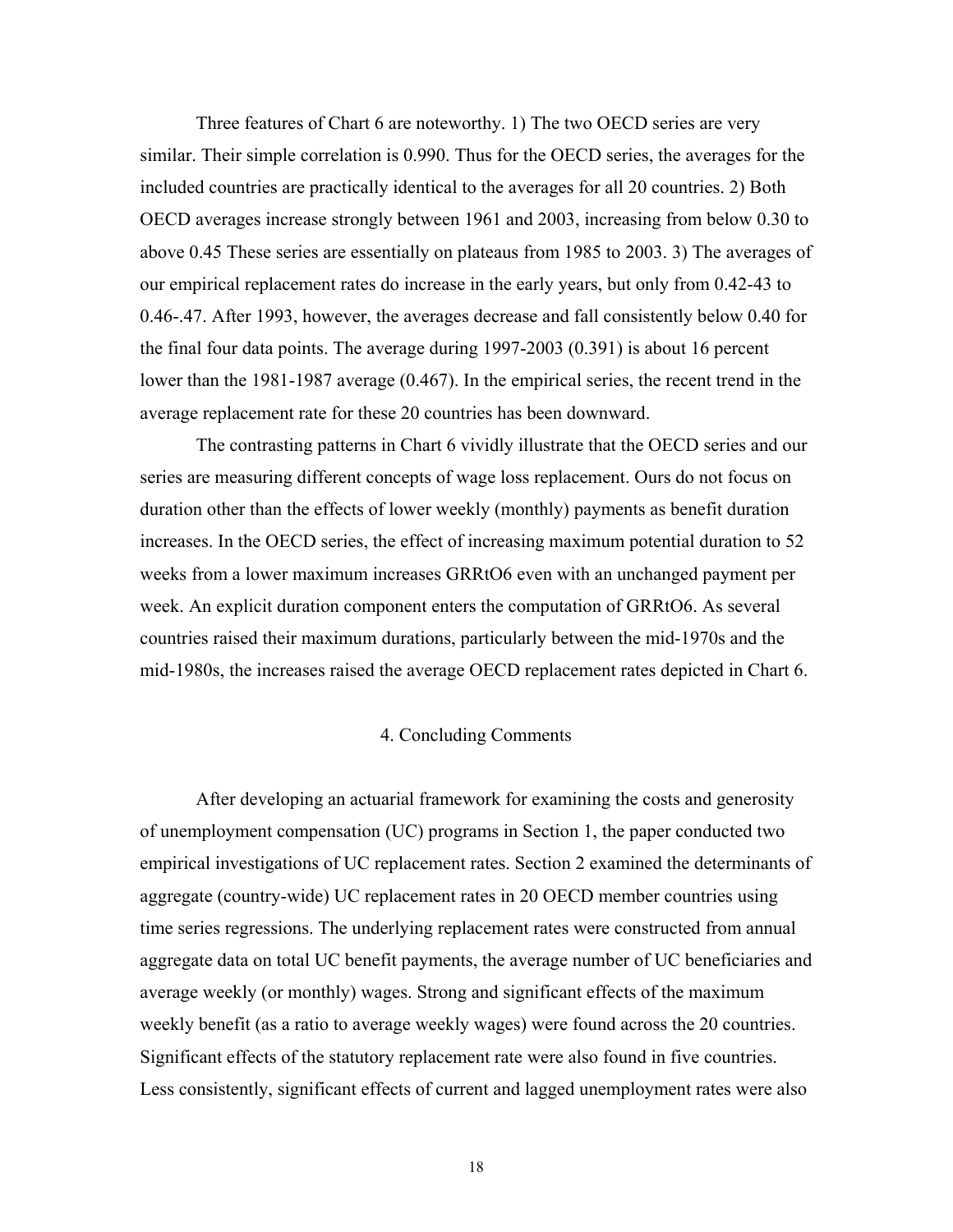Three features of Chart 6 are noteworthy. 1) The two OECD series are very similar. Their simple correlation is 0.990. Thus for the OECD series, the averages for the included countries are practically identical to the averages for all 20 countries. 2) Both OECD averages increase strongly between 1961 and 2003, increasing from below 0.30 to above 0.45 These series are essentially on plateaus from 1985 to 2003. 3) The averages of our empirical replacement rates do increase in the early years, but only from 0.42-43 to 0.46-.47. After 1993, however, the averages decrease and fall consistently below 0.40 for the final four data points. The average during 1997-2003 (0.391) is about 16 percent lower than the 1981-1987 average (0.467). In the empirical series, the recent trend in the average replacement rate for these 20 countries has been downward.

The contrasting patterns in Chart 6 vividly illustrate that the OECD series and our series are measuring different concepts of wage loss replacement. Ours do not focus on duration other than the effects of lower weekly (monthly) payments as benefit duration increases. In the OECD series, the effect of increasing maximum potential duration to 52 weeks from a lower maximum increases GRRtO6 even with an unchanged payment per week. An explicit duration component enters the computation of GRRtO6. As several countries raised their maximum durations, particularly between the mid-1970s and the mid-1980s, the increases raised the average OECD replacement rates depicted in Chart 6.

### 4. Concluding Comments

After developing an actuarial framework for examining the costs and generosity of unemployment compensation (UC) programs in Section 1, the paper conducted two empirical investigations of UC replacement rates. Section 2 examined the determinants of aggregate (country-wide) UC replacement rates in 20 OECD member countries using time series regressions. The underlying replacement rates were constructed from annual aggregate data on total UC benefit payments, the average number of UC beneficiaries and average weekly (or monthly) wages. Strong and significant effects of the maximum weekly benefit (as a ratio to average weekly wages) were found across the 20 countries. Significant effects of the statutory replacement rate were also found in five countries. Less consistently, significant effects of current and lagged unemployment rates were also

18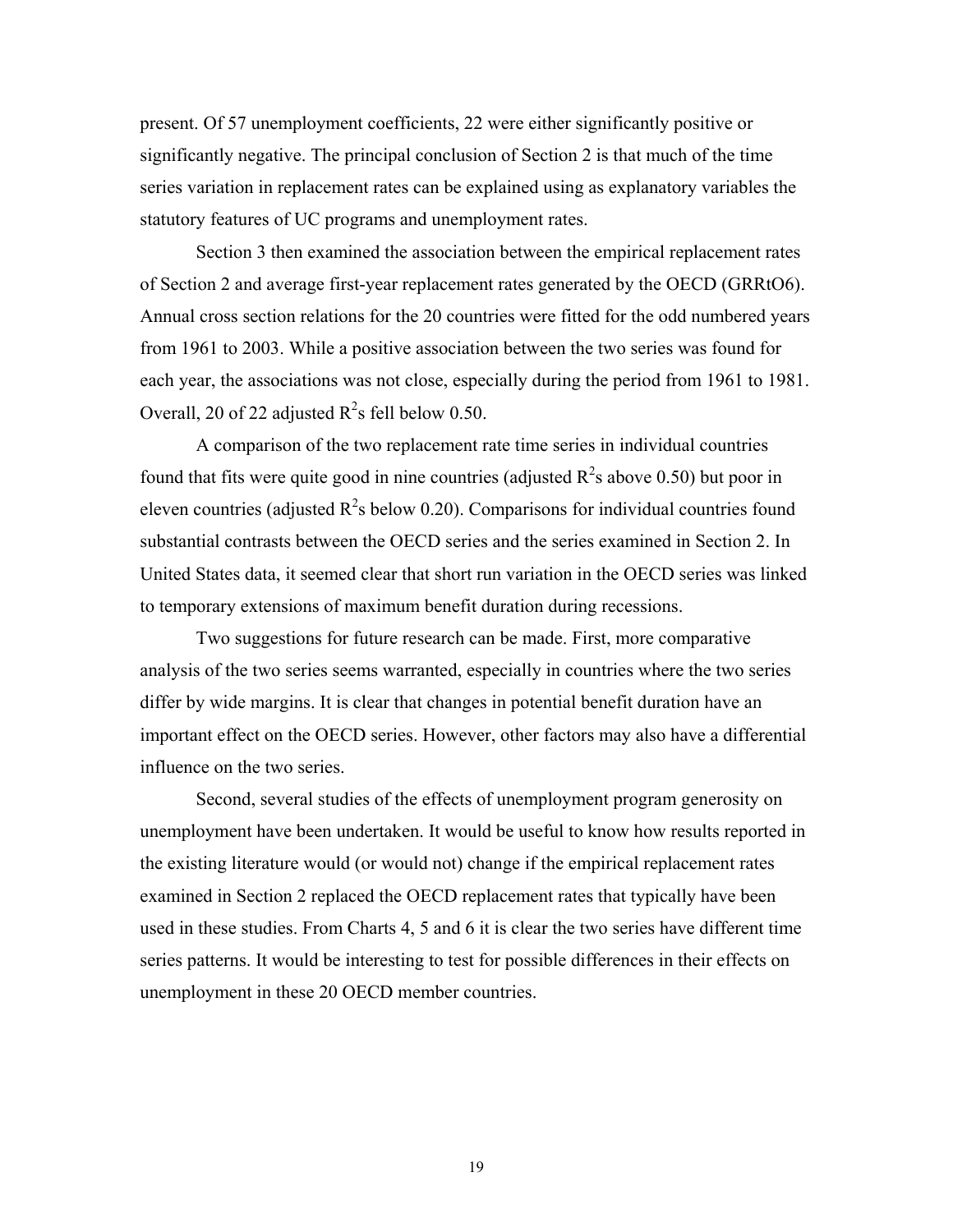present. Of 57 unemployment coefficients, 22 were either significantly positive or significantly negative. The principal conclusion of Section 2 is that much of the time series variation in replacement rates can be explained using as explanatory variables the statutory features of UC programs and unemployment rates.

Section 3 then examined the association between the empirical replacement rates of Section 2 and average first-year replacement rates generated by the OECD (GRRtO6). Annual cross section relations for the 20 countries were fitted for the odd numbered years from 1961 to 2003. While a positive association between the two series was found for each year, the associations was not close, especially during the period from 1961 to 1981. Overall, 20 of 22 adjusted  $R^2$ s fell below 0.50.

A comparison of the two replacement rate time series in individual countries found that fits were quite good in nine countries (adjusted  $R^2$ s above 0.50) but poor in eleven countries (adjusted  $R^2$ s below 0.20). Comparisons for individual countries found substantial contrasts between the OECD series and the series examined in Section 2. In United States data, it seemed clear that short run variation in the OECD series was linked to temporary extensions of maximum benefit duration during recessions.

Two suggestions for future research can be made. First, more comparative analysis of the two series seems warranted, especially in countries where the two series differ by wide margins. It is clear that changes in potential benefit duration have an important effect on the OECD series. However, other factors may also have a differential influence on the two series.

Second, several studies of the effects of unemployment program generosity on unemployment have been undertaken. It would be useful to know how results reported in the existing literature would (or would not) change if the empirical replacement rates examined in Section 2 replaced the OECD replacement rates that typically have been used in these studies. From Charts 4, 5 and 6 it is clear the two series have different time series patterns. It would be interesting to test for possible differences in their effects on unemployment in these 20 OECD member countries.

19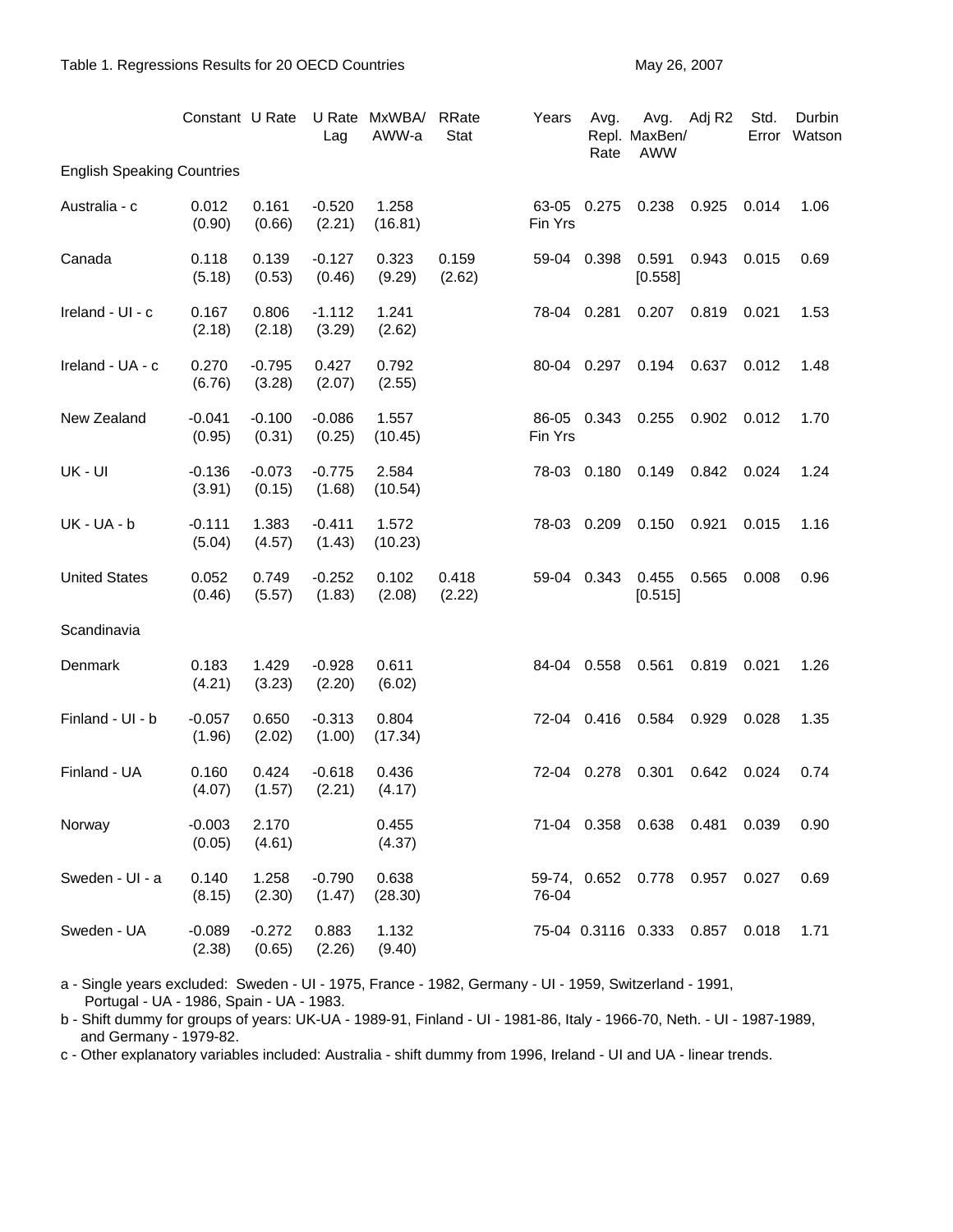|                                   | Constant U Rate    |                    | Lag                | U Rate MxWBA/<br>AWW-a | RRate<br><b>Stat</b> | Years            | Avg.<br>Rate | Repl. MaxBen/<br><b>AWW</b> | Avg. Adj R2 | Std.  | Durbin<br>Error Watson |
|-----------------------------------|--------------------|--------------------|--------------------|------------------------|----------------------|------------------|--------------|-----------------------------|-------------|-------|------------------------|
| <b>English Speaking Countries</b> |                    |                    |                    |                        |                      |                  |              |                             |             |       |                        |
| Australia - c                     | 0.012<br>(0.90)    | 0.161<br>(0.66)    | $-0.520$<br>(2.21) | 1.258<br>(16.81)       |                      | 63-05<br>Fin Yrs | 0.275        | 0.238                       | 0.925       | 0.014 | 1.06                   |
| Canada                            | 0.118<br>(5.18)    | 0.139<br>(0.53)    | $-0.127$<br>(0.46) | 0.323<br>(9.29)        | 0.159<br>(2.62)      | 59-04            | 0.398        | 0.591<br>[0.558]            | 0.943       | 0.015 | 0.69                   |
| Ireland - UI - c                  | 0.167<br>(2.18)    | 0.806<br>(2.18)    | $-1.112$<br>(3.29) | 1.241<br>(2.62)        |                      | 78-04            | 0.281        | 0.207                       | 0.819       | 0.021 | 1.53                   |
| Ireland - UA - c                  | 0.270<br>(6.76)    | $-0.795$<br>(3.28) | 0.427<br>(2.07)    | 0.792<br>(2.55)        |                      | 80-04 0.297      |              | 0.194                       | 0.637       | 0.012 | 1.48                   |
| New Zealand                       | $-0.041$<br>(0.95) | $-0.100$<br>(0.31) | $-0.086$<br>(0.25) | 1.557<br>(10.45)       |                      | 86-05<br>Fin Yrs | 0.343        | 0.255                       | 0.902       | 0.012 | 1.70                   |
| UK - UI                           | $-0.136$<br>(3.91) | $-0.073$<br>(0.15) | $-0.775$<br>(1.68) | 2.584<br>(10.54)       |                      | 78-03            | 0.180        | 0.149                       | 0.842       | 0.024 | 1.24                   |
| <b>UK-UA-b</b>                    | $-0.111$<br>(5.04) | 1.383<br>(4.57)    | $-0.411$<br>(1.43) | 1.572<br>(10.23)       |                      | 78-03            | 0.209        | 0.150                       | 0.921       | 0.015 | 1.16                   |
| <b>United States</b>              | 0.052<br>(0.46)    | 0.749<br>(5.57)    | $-0.252$<br>(1.83) | 0.102<br>(2.08)        | 0.418<br>(2.22)      | 59-04            | 0.343        | 0.455<br>[0.515]            | 0.565       | 0.008 | 0.96                   |
| Scandinavia                       |                    |                    |                    |                        |                      |                  |              |                             |             |       |                        |
| Denmark                           | 0.183<br>(4.21)    | 1.429<br>(3.23)    | $-0.928$<br>(2.20) | 0.611<br>(6.02)        |                      | 84-04            | 0.558        | 0.561                       | 0.819       | 0.021 | 1.26                   |
| Finland - UI - b                  | $-0.057$<br>(1.96) | 0.650<br>(2.02)    | $-0.313$<br>(1.00) | 0.804<br>(17.34)       |                      | 72-04            | 0.416        | 0.584                       | 0.929       | 0.028 | 1.35                   |
| Finland - UA                      | 0.160<br>(4.07)    | 0.424<br>(1.57)    | $-0.618$<br>(2.21) | 0.436<br>(4.17)        |                      | 72-04            | 0.278        | 0.301                       | 0.642       | 0.024 | 0.74                   |
| Norway                            | $-0.003$<br>(0.05) | 2.170<br>(4.61)    |                    | 0.455<br>(4.37)        |                      | 71-04 0.358      |              | 0.638                       | 0.481       | 0.039 | 0.90                   |
| Sweden - UI - a                   | 0.140<br>(8.15)    | 1.258<br>(2.30)    | $-0.790$<br>(1.47) | 0.638<br>(28.30)       |                      | 76-04            |              | 59-74, 0.652 0.778 0.957    |             | 0.027 | 0.69                   |
| Sweden - UA                       | $-0.089$<br>(2.38) | $-0.272$<br>(0.65) | 0.883<br>(2.26)    | 1.132<br>(9.40)        |                      |                  |              | 75-04 0.3116 0.333          | 0.857       | 0.018 | 1.71                   |

a - Single years excluded: Sweden - UI - 1975, France - 1982, Germany - UI - 1959, Switzerland - 1991, Portugal - UA - 1986, Spain - UA - 1983.

b - Shift dummy for groups of years: UK-UA - 1989-91, Finland - UI - 1981-86, Italy - 1966-70, Neth. - UI - 1987-1989, and Germany - 1979-82.

c - Other explanatory variables included: Australia - shift dummy from 1996, Ireland - UI and UA - linear trends.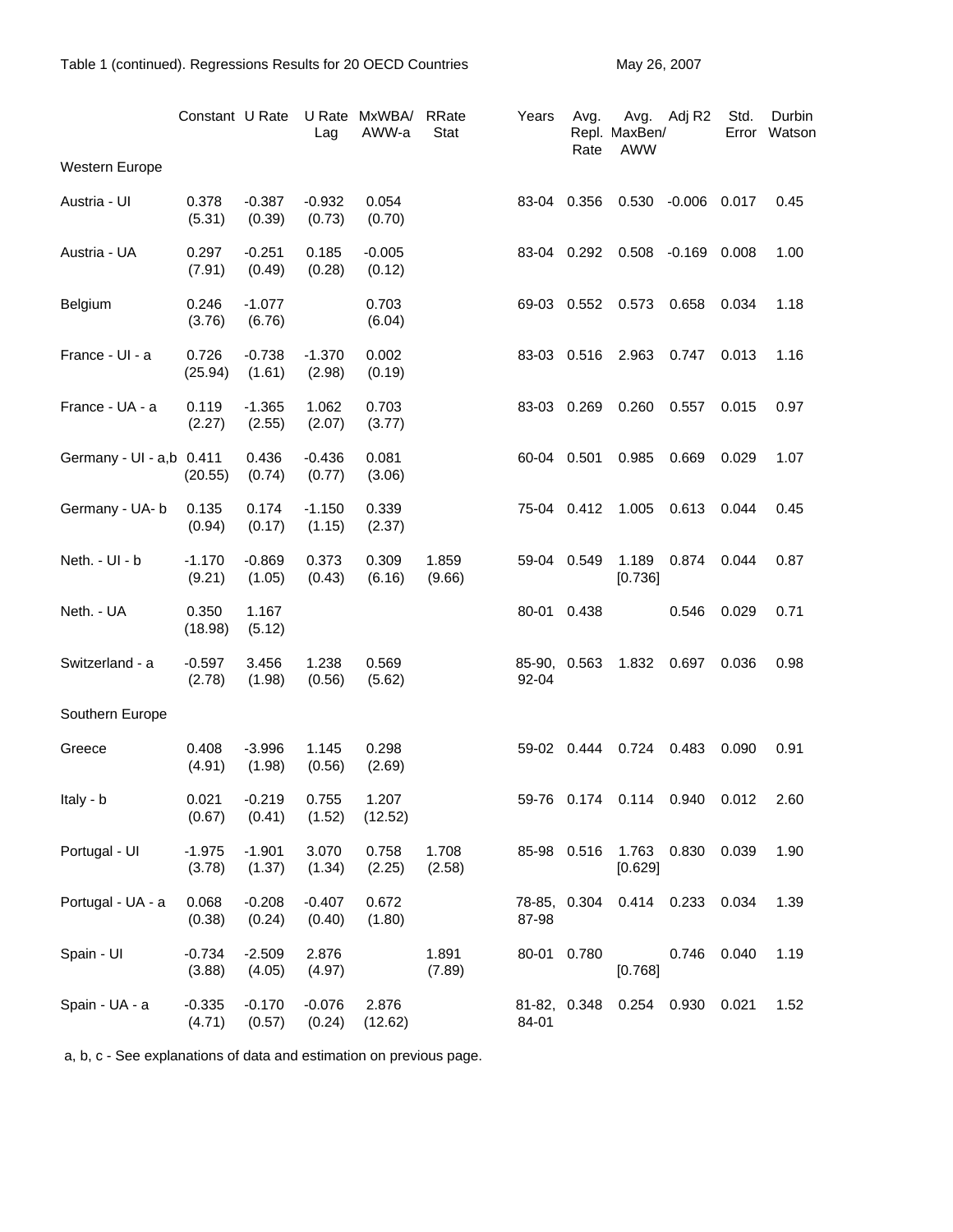|                          | Constant U Rate    |                    | Lag                | U Rate MxWBA/<br>AWW-a | RRate<br>Stat   | Years                 | Avg.<br>Rate | Avg.<br>Repl. MaxBen/<br><b>AWW</b> | Adj R2             | Std.<br>Error | Durbin<br>Watson |
|--------------------------|--------------------|--------------------|--------------------|------------------------|-----------------|-----------------------|--------------|-------------------------------------|--------------------|---------------|------------------|
| Western Europe           |                    |                    |                    |                        |                 |                       |              |                                     |                    |               |                  |
| Austria - Ul             | 0.378<br>(5.31)    | $-0.387$<br>(0.39) | $-0.932$<br>(0.73) | 0.054<br>(0.70)        |                 | 83-04 0.356           |              | 0.530                               | $-0.006$ 0.017     |               | 0.45             |
| Austria - UA             | 0.297<br>(7.91)    | $-0.251$<br>(0.49) | 0.185<br>(0.28)    | $-0.005$<br>(0.12)     |                 | 83-04 0.292           |              |                                     | 0.508 -0.169 0.008 |               | 1.00             |
| Belgium                  | 0.246<br>(3.76)    | $-1.077$<br>(6.76) |                    | 0.703<br>(6.04)        |                 | 69-03 0.552           |              | 0.573                               | 0.658              | 0.034         | 1.18             |
| France - UI - a          | 0.726<br>(25.94)   | $-0.738$<br>(1.61) | $-1.370$<br>(2.98) | 0.002<br>(0.19)        |                 | 83-03 0.516           |              | 2.963                               | 0.747              | 0.013         | 1.16             |
| France - UA - a          | 0.119<br>(2.27)    | $-1.365$<br>(2.55) | 1.062<br>(2.07)    | 0.703<br>(3.77)        |                 | 83-03 0.269           |              | 0.260                               | 0.557              | 0.015         | 0.97             |
| Germany - UI - a,b 0.411 | (20.55)            | 0.436<br>(0.74)    | $-0.436$<br>(0.77) | 0.081<br>(3.06)        |                 | 60-04 0.501           |              | 0.985                               | 0.669              | 0.029         | 1.07             |
| Germany - UA- b          | 0.135<br>(0.94)    | 0.174<br>(0.17)    | $-1.150$<br>(1.15) | 0.339<br>(2.37)        |                 | 75-04 0.412           |              | 1.005                               | 0.613              | 0.044         | 0.45             |
| Neth. - UI - b           | $-1.170$<br>(9.21) | $-0.869$<br>(1.05) | 0.373<br>(0.43)    | 0.309<br>(6.16)        | 1.859<br>(9.66) | 59-04 0.549           |              | 1.189<br>[0.736]                    | 0.874              | 0.044         | 0.87             |
| Neth. - UA               | 0.350<br>(18.98)   | 1.167<br>(5.12)    |                    |                        |                 | 80-01                 | 0.438        |                                     | 0.546              | 0.029         | 0.71             |
| Switzerland - a          | $-0.597$<br>(2.78) | 3.456<br>(1.98)    | 1.238<br>(0.56)    | 0.569<br>(5.62)        |                 | 85-90, 0.563<br>92-04 |              | 1.832                               | 0.697              | 0.036         | 0.98             |
| Southern Europe          |                    |                    |                    |                        |                 |                       |              |                                     |                    |               |                  |
| Greece                   | 0.408<br>(4.91)    | $-3.996$<br>(1.98) | 1.145<br>(0.56)    | 0.298<br>(2.69)        |                 | 59-02 0.444           |              | 0.724 0.483                         |                    | 0.090         | 0.91             |
| Italy - b                | 0.021<br>(0.67)    | $-0.219$<br>(0.41) | 0.755<br>(1.52)    | 1.207<br>(12.52)       |                 |                       | 59-76 0.174  | 0.114                               | 0.940              | 0.012         | 2.60             |
| Portugal - UI            | $-1.975$<br>(3.78) | $-1.901$<br>(1.37) | 3.070<br>(1.34)    | 0.758<br>(2.25)        | 1.708<br>(2.58) |                       | 85-98 0.516  | 1.763<br>[0.629]                    | 0.830              | 0.039         | 1.90             |
| Portugal - UA - a        | 0.068<br>(0.38)    | $-0.208$<br>(0.24) | $-0.407$<br>(0.40) | 0.672<br>(1.80)        |                 | 78-85, 0.304<br>87-98 |              | 0.414 0.233                         |                    | 0.034         | 1.39             |
| Spain - UI               | $-0.734$<br>(3.88) | $-2.509$<br>(4.05) | 2.876<br>(4.97)    |                        | 1.891<br>(7.89) | 80-01 0.780           |              | [0.768]                             | 0.746              | 0.040         | 1.19             |
| Spain - UA - a           | $-0.335$<br>(4.71) | $-0.170$<br>(0.57) | $-0.076$<br>(0.24) | 2.876<br>(12.62)       |                 | 81-82, 0.348<br>84-01 |              | 0.254 0.930                         |                    | 0.021         | 1.52             |

a, b, c - See explanations of data and estimation on previous page.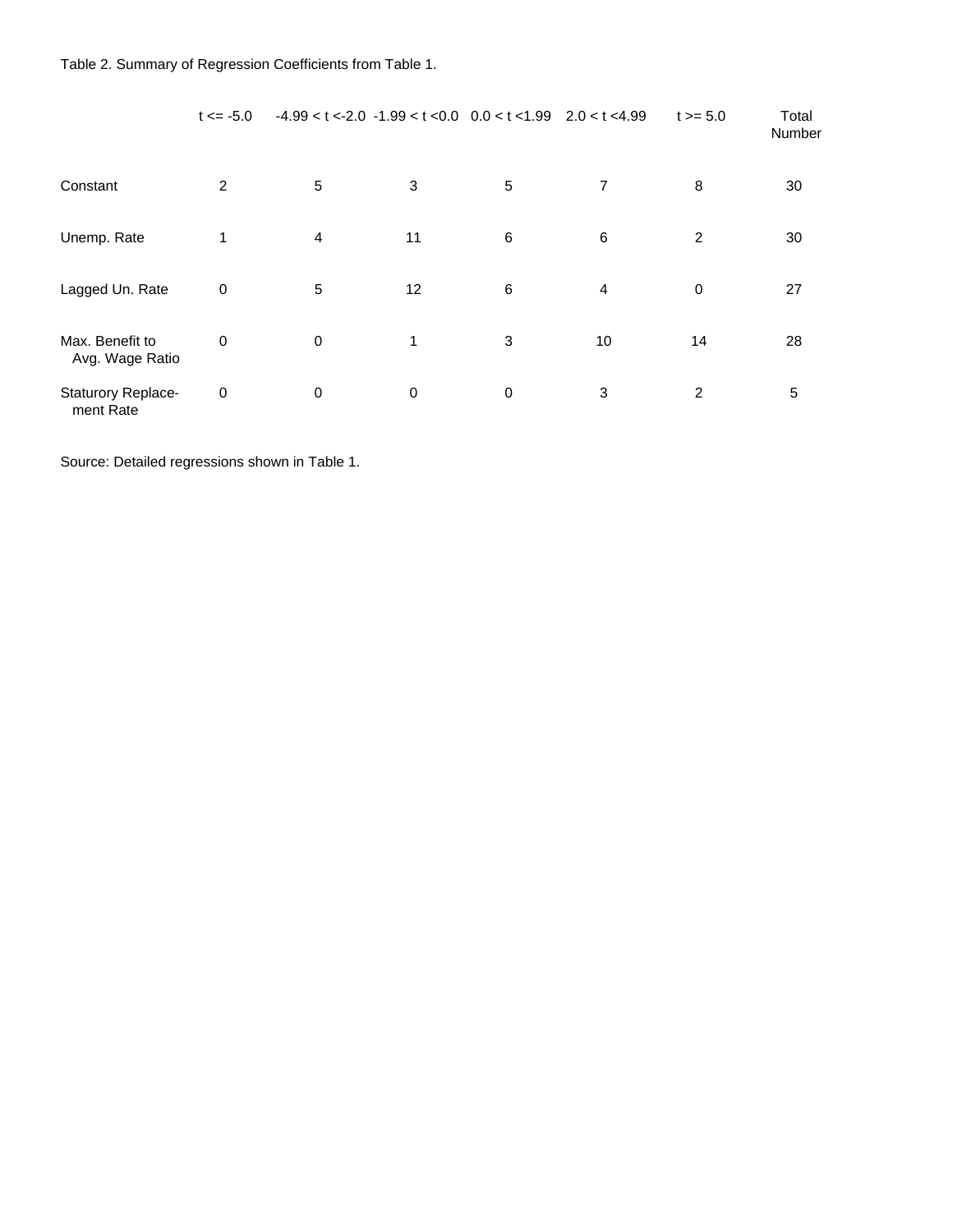|                                    | $t \le -5.0$ |             | $-4.99 < t < -2.0$ $-1.99 < t < 0.0$ $0.0 < t < 1.99$ $2.0 < t < 4.99$ |   |                | $t > = 5.0$ | Total<br>Number |
|------------------------------------|--------------|-------------|------------------------------------------------------------------------|---|----------------|-------------|-----------------|
| Constant                           | 2            | 5           | 3                                                                      | 5 | 7              | 8           | 30              |
| Unemp. Rate                        | 1            | 4           | 11                                                                     | 6 | 6              | 2           | 30              |
| Lagged Un. Rate                    | 0            | 5           | 12                                                                     | 6 | $\overline{4}$ | $\mathbf 0$ | 27              |
| Max. Benefit to<br>Avg. Wage Ratio | $\mathbf 0$  | $\mathbf 0$ | 1                                                                      | 3 | 10             | 14          | 28              |
| Staturory Replace-<br>ment Rate    | $\mathbf 0$  | $\mathbf 0$ | 0                                                                      | 0 | 3              | 2           | 5               |

Source: Detailed regressions shown in Table 1.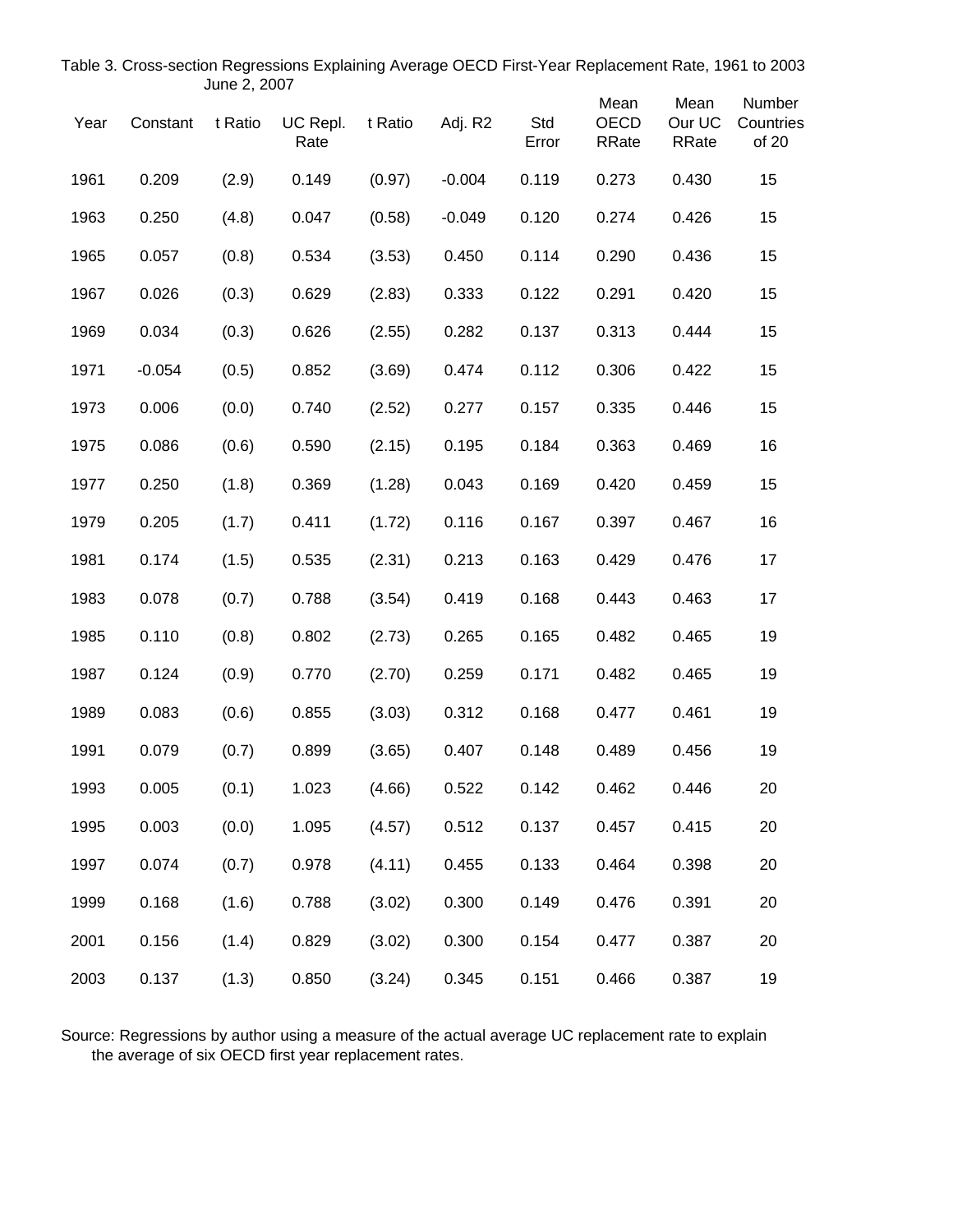| Year | Constant | t Ratio | UC Repl.<br>Rate | t Ratio | Adj. R2  | Std<br>Error | Mean<br><b>OECD</b><br><b>RRate</b> | Mean<br>Our UC<br>RRate | Number<br>Countries<br>of 20 |
|------|----------|---------|------------------|---------|----------|--------------|-------------------------------------|-------------------------|------------------------------|
| 1961 | 0.209    | (2.9)   | 0.149            | (0.97)  | $-0.004$ | 0.119        | 0.273                               | 0.430                   | 15                           |
| 1963 | 0.250    | (4.8)   | 0.047            | (0.58)  | $-0.049$ | 0.120        | 0.274                               | 0.426                   | 15                           |
| 1965 | 0.057    | (0.8)   | 0.534            | (3.53)  | 0.450    | 0.114        | 0.290                               | 0.436                   | 15                           |
| 1967 | 0.026    | (0.3)   | 0.629            | (2.83)  | 0.333    | 0.122        | 0.291                               | 0.420                   | 15                           |
| 1969 | 0.034    | (0.3)   | 0.626            | (2.55)  | 0.282    | 0.137        | 0.313                               | 0.444                   | 15                           |
| 1971 | $-0.054$ | (0.5)   | 0.852            | (3.69)  | 0.474    | 0.112        | 0.306                               | 0.422                   | 15                           |
| 1973 | 0.006    | (0.0)   | 0.740            | (2.52)  | 0.277    | 0.157        | 0.335                               | 0.446                   | 15                           |
| 1975 | 0.086    | (0.6)   | 0.590            | (2.15)  | 0.195    | 0.184        | 0.363                               | 0.469                   | 16                           |
| 1977 | 0.250    | (1.8)   | 0.369            | (1.28)  | 0.043    | 0.169        | 0.420                               | 0.459                   | 15                           |
| 1979 | 0.205    | (1.7)   | 0.411            | (1.72)  | 0.116    | 0.167        | 0.397                               | 0.467                   | 16                           |
| 1981 | 0.174    | (1.5)   | 0.535            | (2.31)  | 0.213    | 0.163        | 0.429                               | 0.476                   | 17                           |
| 1983 | 0.078    | (0.7)   | 0.788            | (3.54)  | 0.419    | 0.168        | 0.443                               | 0.463                   | 17                           |
| 1985 | 0.110    | (0.8)   | 0.802            | (2.73)  | 0.265    | 0.165        | 0.482                               | 0.465                   | 19                           |
| 1987 | 0.124    | (0.9)   | 0.770            | (2.70)  | 0.259    | 0.171        | 0.482                               | 0.465                   | 19                           |
| 1989 | 0.083    | (0.6)   | 0.855            | (3.03)  | 0.312    | 0.168        | 0.477                               | 0.461                   | 19                           |
| 1991 | 0.079    | (0.7)   | 0.899            | (3.65)  | 0.407    | 0.148        | 0.489                               | 0.456                   | 19                           |
| 1993 | 0.005    | (0.1)   | 1.023            | (4.66)  | 0.522    | 0.142        | 0.462                               | 0.446                   | 20                           |
| 1995 | 0.003    | (0.0)   | 1.095            | (4.57)  | 0.512    | 0.137        | 0.457                               | 0.415                   | 20                           |
| 1997 | 0.074    | (0.7)   | 0.978            | (4.11)  | 0.455    | 0.133        | 0.464                               | 0.398                   | 20                           |
| 1999 | 0.168    | (1.6)   | 0.788            | (3.02)  | 0.300    | 0.149        | 0.476                               | 0.391                   | 20                           |
| 2001 | 0.156    | (1.4)   | 0.829            | (3.02)  | 0.300    | 0.154        | 0.477                               | 0.387                   | 20                           |
| 2003 | 0.137    | (1.3)   | 0.850            | (3.24)  | 0.345    | 0.151        | 0.466                               | 0.387                   | 19                           |

Table 3. Cross-section Regressions Explaining Average OECD First-Year Replacement Rate, 1961 to 2003 June 2, 2007

Source: Regressions by author using a measure of the actual average UC replacement rate to explain the average of six OECD first year replacement rates.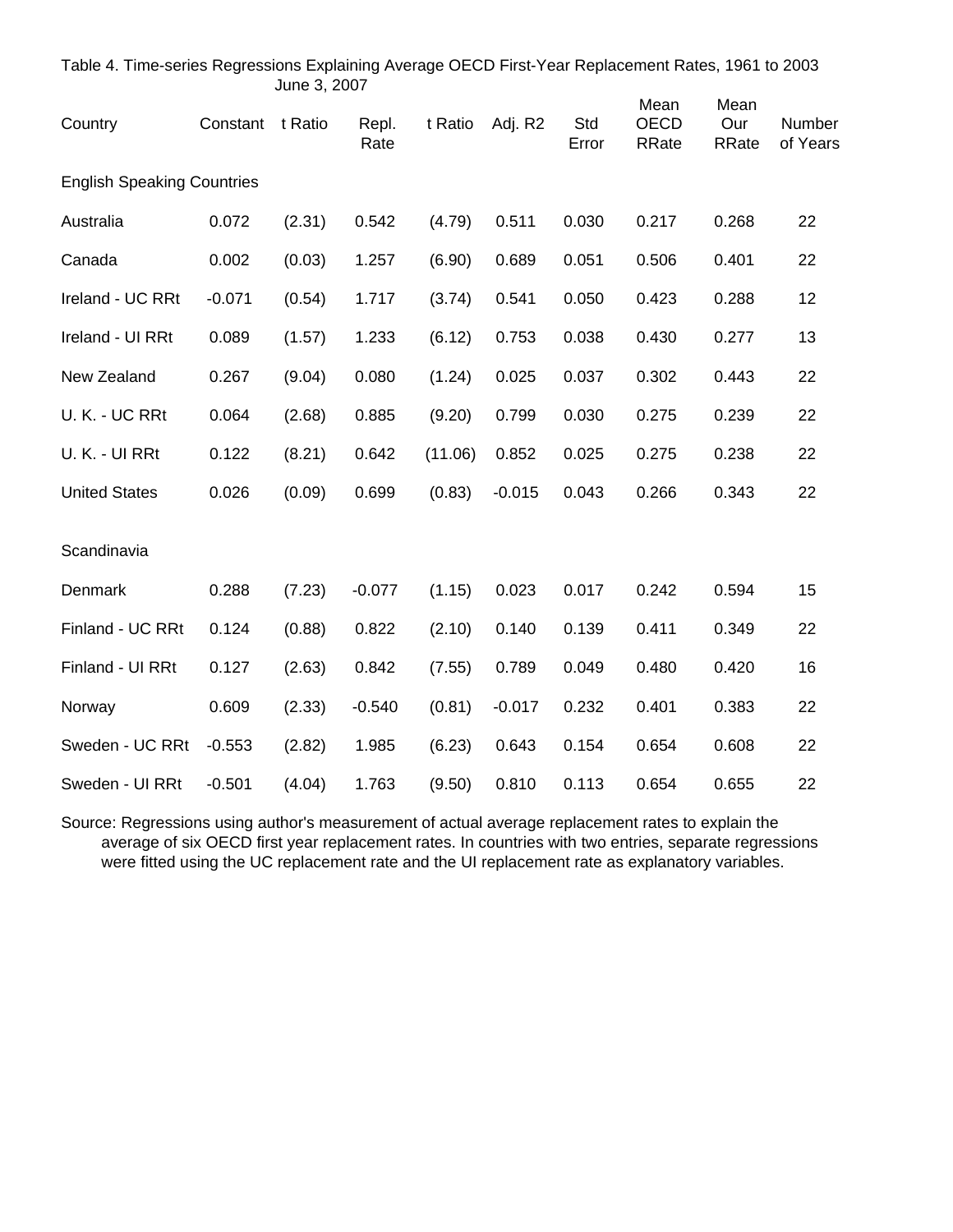|                                   |          | June 3, 2007 |               |         |          |              |                                     |                             |                    |
|-----------------------------------|----------|--------------|---------------|---------|----------|--------------|-------------------------------------|-----------------------------|--------------------|
| Country                           | Constant | t Ratio      | Repl.<br>Rate | t Ratio | Adj. R2  | Std<br>Error | Mean<br><b>OECD</b><br><b>RRate</b> | Mean<br>Our<br><b>RRate</b> | Number<br>of Years |
| <b>English Speaking Countries</b> |          |              |               |         |          |              |                                     |                             |                    |
| Australia                         | 0.072    | (2.31)       | 0.542         | (4.79)  | 0.511    | 0.030        | 0.217                               | 0.268                       | 22                 |
| Canada                            | 0.002    | (0.03)       | 1.257         | (6.90)  | 0.689    | 0.051        | 0.506                               | 0.401                       | 22                 |
| Ireland - UC RRt                  | $-0.071$ | (0.54)       | 1.717         | (3.74)  | 0.541    | 0.050        | 0.423                               | 0.288                       | 12                 |
| Ireland - UI RRt                  | 0.089    | (1.57)       | 1.233         | (6.12)  | 0.753    | 0.038        | 0.430                               | 0.277                       | 13                 |
| New Zealand                       | 0.267    | (9.04)       | 0.080         | (1.24)  | 0.025    | 0.037        | 0.302                               | 0.443                       | 22                 |
| U.K. - UC RRt                     | 0.064    | (2.68)       | 0.885         | (9.20)  | 0.799    | 0.030        | 0.275                               | 0.239                       | 22                 |
| U.K. - UI RRt                     | 0.122    | (8.21)       | 0.642         | (11.06) | 0.852    | 0.025        | 0.275                               | 0.238                       | 22                 |
| <b>United States</b>              | 0.026    | (0.09)       | 0.699         | (0.83)  | $-0.015$ | 0.043        | 0.266                               | 0.343                       | 22                 |
| Scandinavia                       |          |              |               |         |          |              |                                     |                             |                    |
| Denmark                           | 0.288    | (7.23)       | $-0.077$      | (1.15)  | 0.023    | 0.017        | 0.242                               | 0.594                       | 15                 |
| Finland - UC RRt                  | 0.124    | (0.88)       | 0.822         | (2.10)  | 0.140    | 0.139        | 0.411                               | 0.349                       | 22                 |
| Finland - UI RRt                  | 0.127    | (2.63)       | 0.842         | (7.55)  | 0.789    | 0.049        | 0.480                               | 0.420                       | 16                 |
| Norway                            | 0.609    | (2.33)       | $-0.540$      | (0.81)  | $-0.017$ | 0.232        | 0.401                               | 0.383                       | 22                 |
| Sweden - UC RRt                   | $-0.553$ | (2.82)       | 1.985         | (6.23)  | 0.643    | 0.154        | 0.654                               | 0.608                       | 22                 |
| Sweden - UI RRt                   | $-0.501$ | (4.04)       | 1.763         | (9.50)  | 0.810    | 0.113        | 0.654                               | 0.655                       | 22                 |

Table 4. Time-series Regressions Explaining Average OECD First-Year Replacement Rates, 1961 to 2003

Source: Regressions using author's measurement of actual average replacement rates to explain the average of six OECD first year replacement rates. In countries with two entries, separate regressions were fitted using the UC replacement rate and the UI replacement rate as explanatory variables.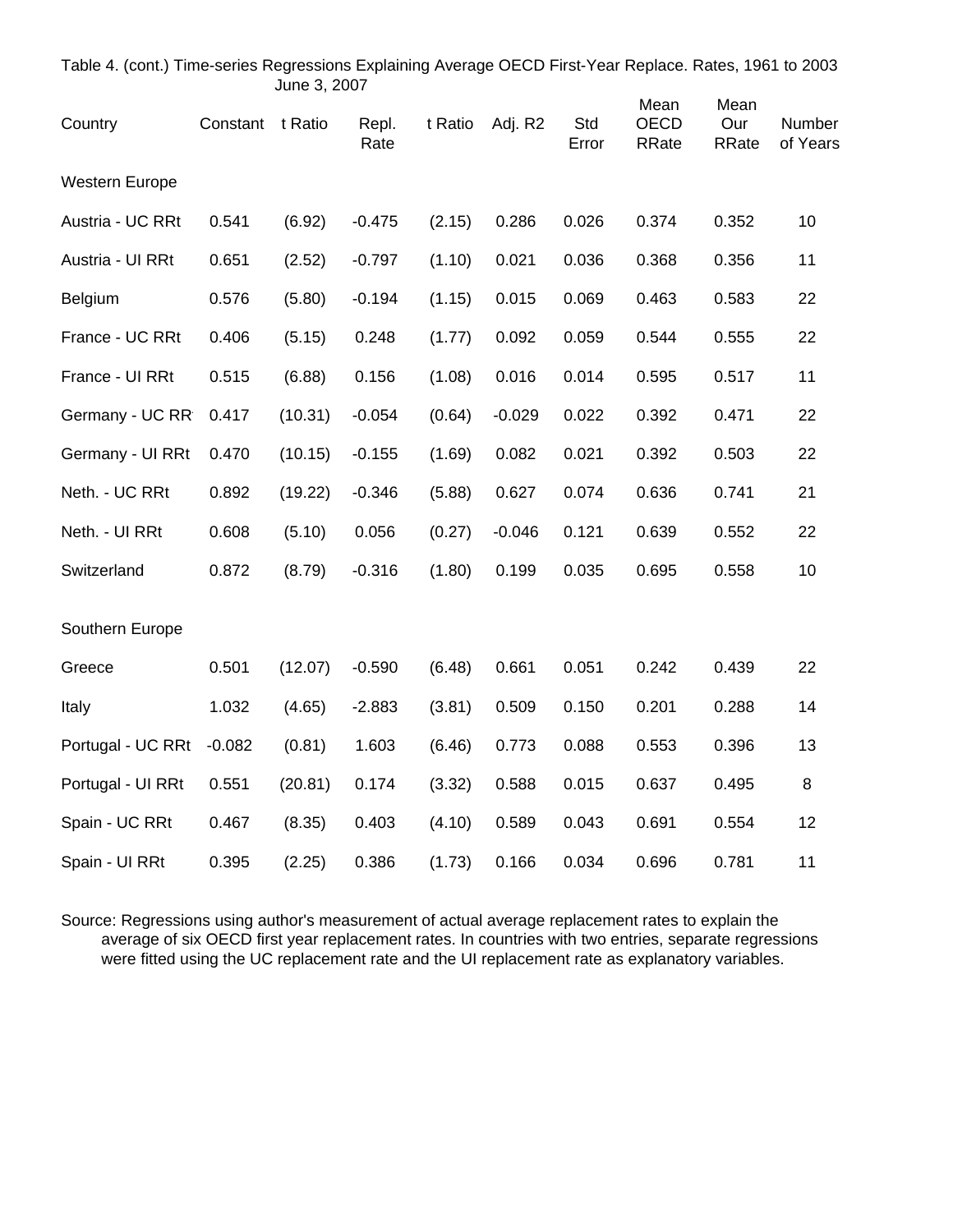| Table 4. (cont.) Time-series Regressions Explaining Average OECD First-Year Replace. Rates, 1961 to 2003 |          | June 3, 2007 |               |         |          |              |                                     |                      |                    |
|----------------------------------------------------------------------------------------------------------|----------|--------------|---------------|---------|----------|--------------|-------------------------------------|----------------------|--------------------|
| Country                                                                                                  | Constant | t Ratio      | Repl.<br>Rate | t Ratio | Adj. R2  | Std<br>Error | Mean<br><b>OECD</b><br><b>RRate</b> | Mean<br>Our<br>RRate | Number<br>of Years |
| Western Europe                                                                                           |          |              |               |         |          |              |                                     |                      |                    |
| Austria - UC RRt                                                                                         | 0.541    | (6.92)       | $-0.475$      | (2.15)  | 0.286    | 0.026        | 0.374                               | 0.352                | 10                 |
| Austria - Ul RRt                                                                                         | 0.651    | (2.52)       | $-0.797$      | (1.10)  | 0.021    | 0.036        | 0.368                               | 0.356                | 11                 |
| Belgium                                                                                                  | 0.576    | (5.80)       | $-0.194$      | (1.15)  | 0.015    | 0.069        | 0.463                               | 0.583                | 22                 |
| France - UC RRt                                                                                          | 0.406    | (5.15)       | 0.248         | (1.77)  | 0.092    | 0.059        | 0.544                               | 0.555                | 22                 |
| France - UI RRt                                                                                          | 0.515    | (6.88)       | 0.156         | (1.08)  | 0.016    | 0.014        | 0.595                               | 0.517                | 11                 |
| Germany - UC RR                                                                                          | 0.417    | (10.31)      | $-0.054$      | (0.64)  | $-0.029$ | 0.022        | 0.392                               | 0.471                | 22                 |
| Germany - UI RRt                                                                                         | 0.470    | (10.15)      | $-0.155$      | (1.69)  | 0.082    | 0.021        | 0.392                               | 0.503                | 22                 |
| Neth. - UC RRt                                                                                           | 0.892    | (19.22)      | $-0.346$      | (5.88)  | 0.627    | 0.074        | 0.636                               | 0.741                | 21                 |
| Neth. - UI RRt                                                                                           | 0.608    | (5.10)       | 0.056         | (0.27)  | $-0.046$ | 0.121        | 0.639                               | 0.552                | 22                 |
| Switzerland                                                                                              | 0.872    | (8.79)       | $-0.316$      | (1.80)  | 0.199    | 0.035        | 0.695                               | 0.558                | 10                 |
| Southern Europe                                                                                          |          |              |               |         |          |              |                                     |                      |                    |
| Greece                                                                                                   | 0.501    | (12.07)      | $-0.590$      | (6.48)  | 0.661    | 0.051        | 0.242                               | 0.439                | 22                 |
| Italy                                                                                                    | 1.032    | (4.65)       | $-2.883$      | (3.81)  | 0.509    | 0.150        | 0.201                               | 0.288                | 14                 |
| Portugal - UC RRt                                                                                        | $-0.082$ | (0.81)       | 1.603         | (6.46)  | 0.773    | 0.088        | 0.553                               | 0.396                | 13                 |
| Portugal - UI RRt                                                                                        | 0.551    | (20.81)      | 0.174         | (3.32)  | 0.588    | 0.015        | 0.637                               | 0.495                | 8                  |
| Spain - UC RRt                                                                                           | 0.467    | (8.35)       | 0.403         | (4.10)  | 0.589    | 0.043        | 0.691                               | 0.554                | 12                 |
| Spain - UI RRt                                                                                           | 0.395    | (2.25)       | 0.386         | (1.73)  | 0.166    | 0.034        | 0.696                               | 0.781                | 11                 |

Source: Regressions using author's measurement of actual average replacement rates to explain the average of six OECD first year replacement rates. In countries with two entries, separate regressions were fitted using the UC replacement rate and the UI replacement rate as explanatory variables.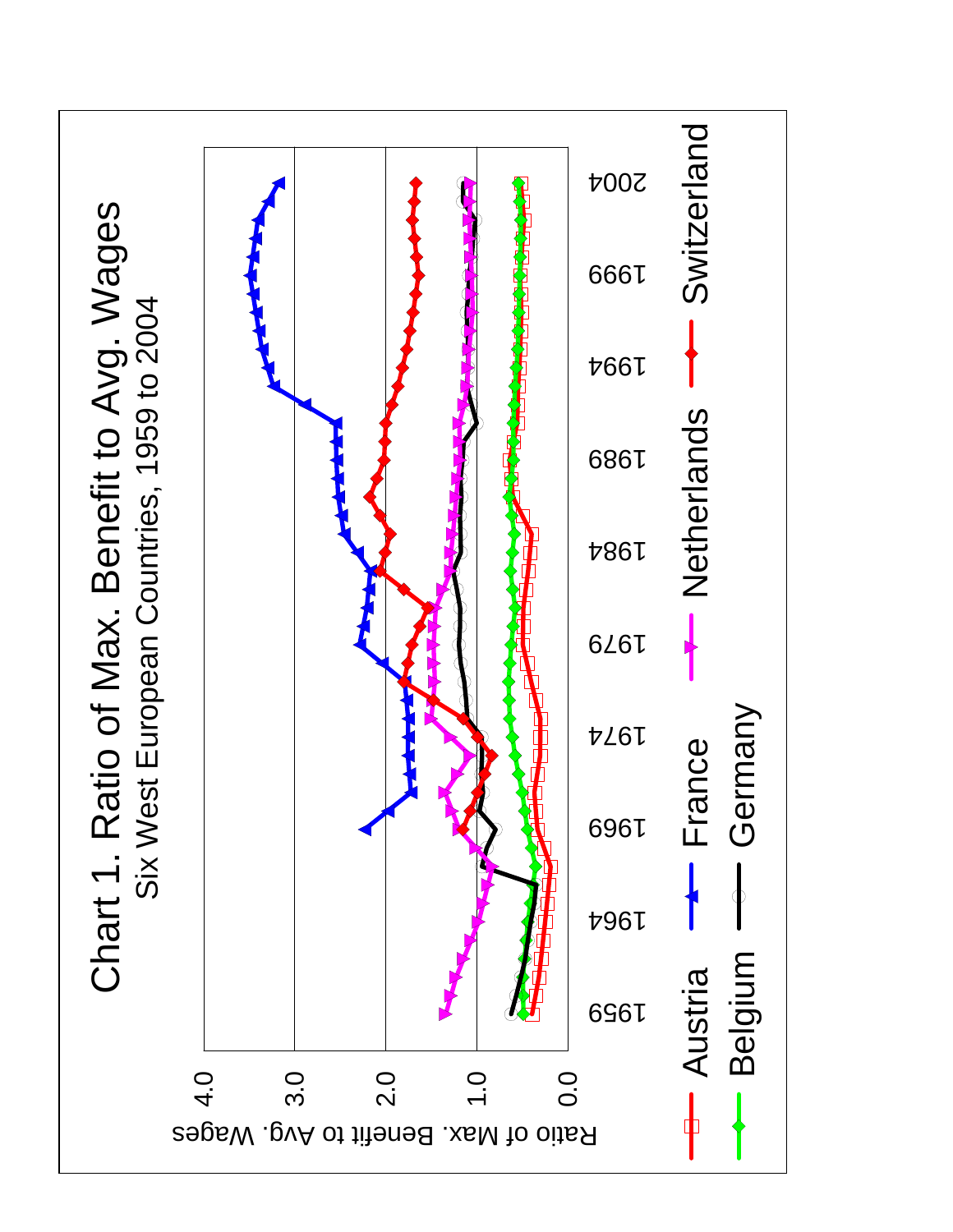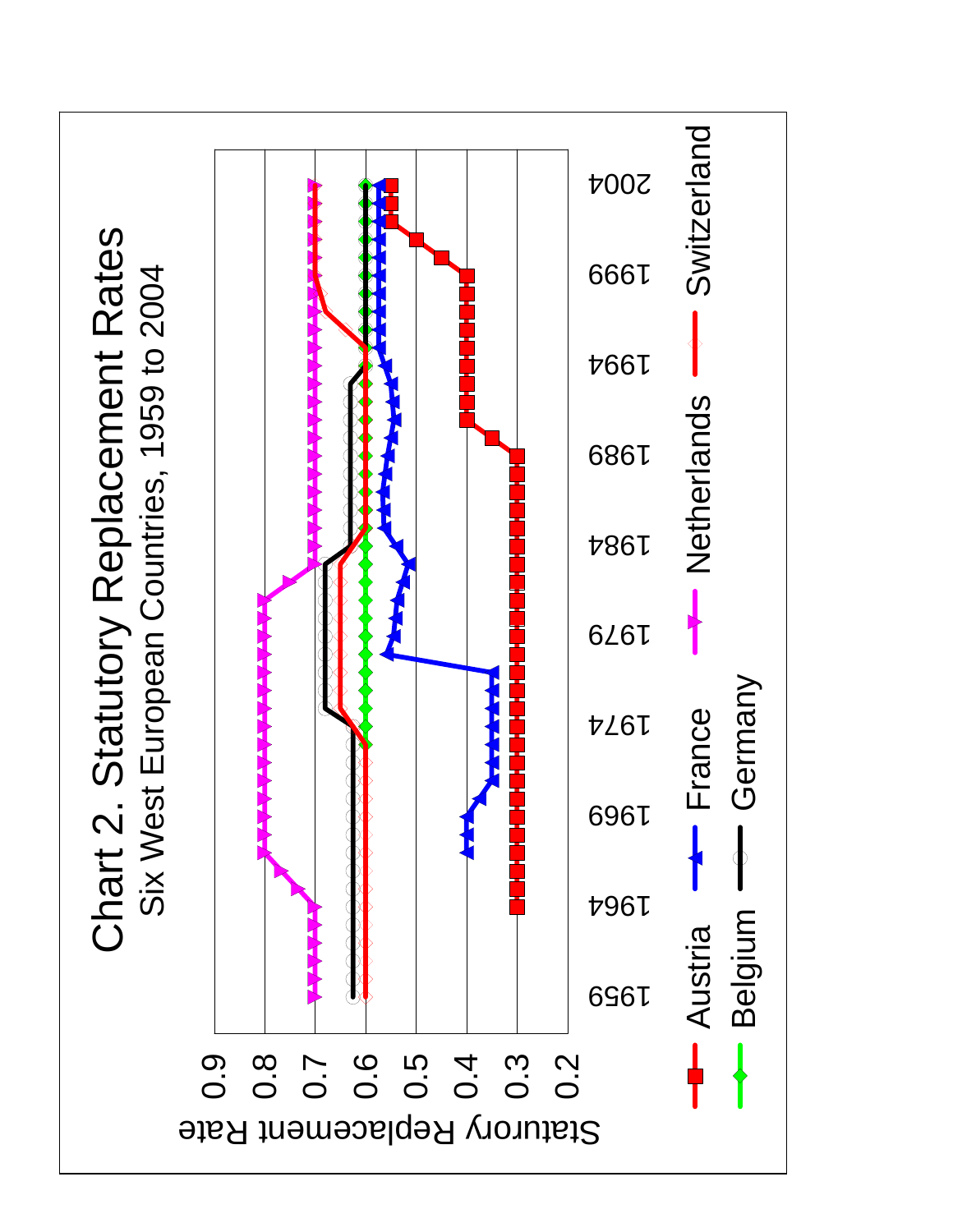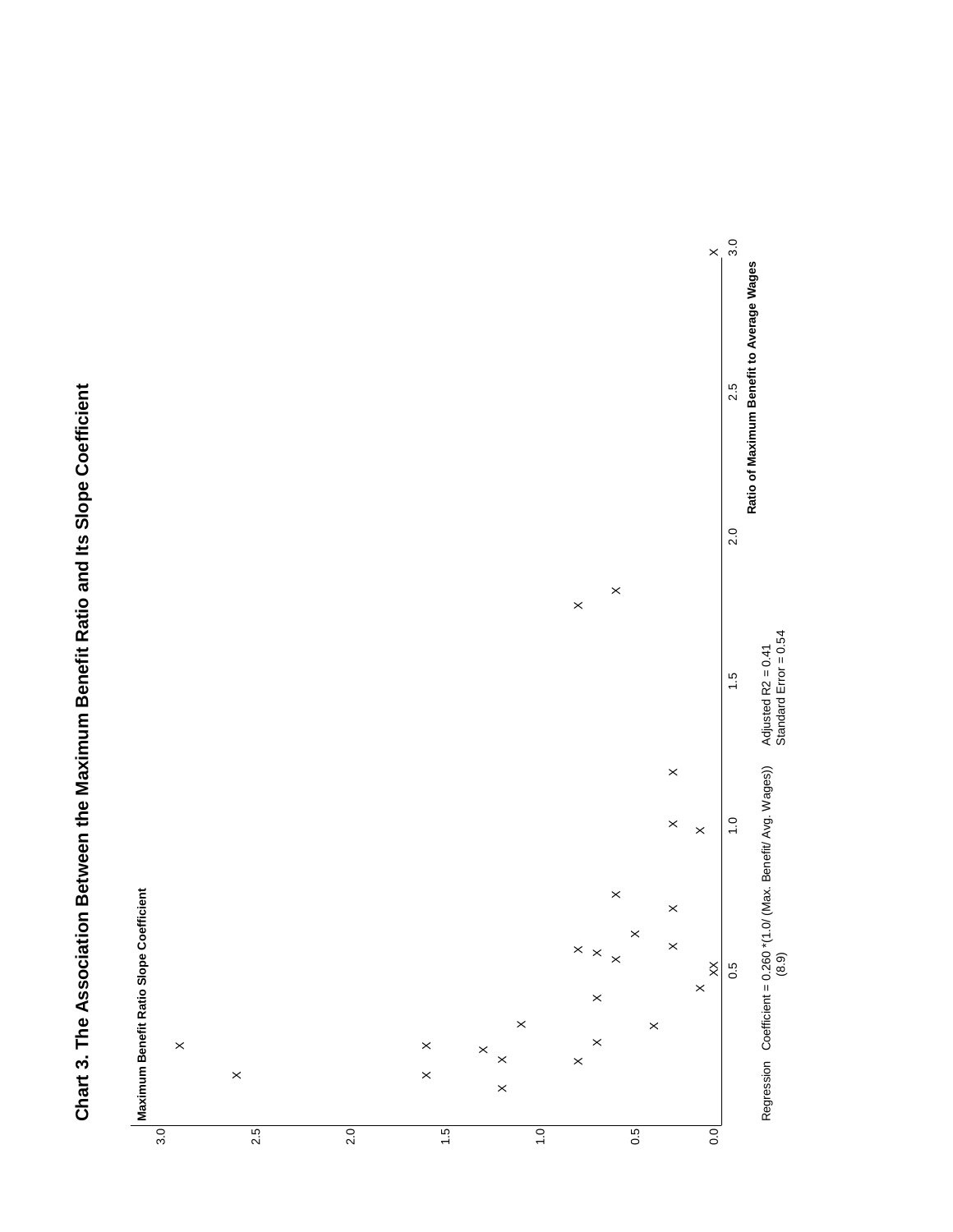

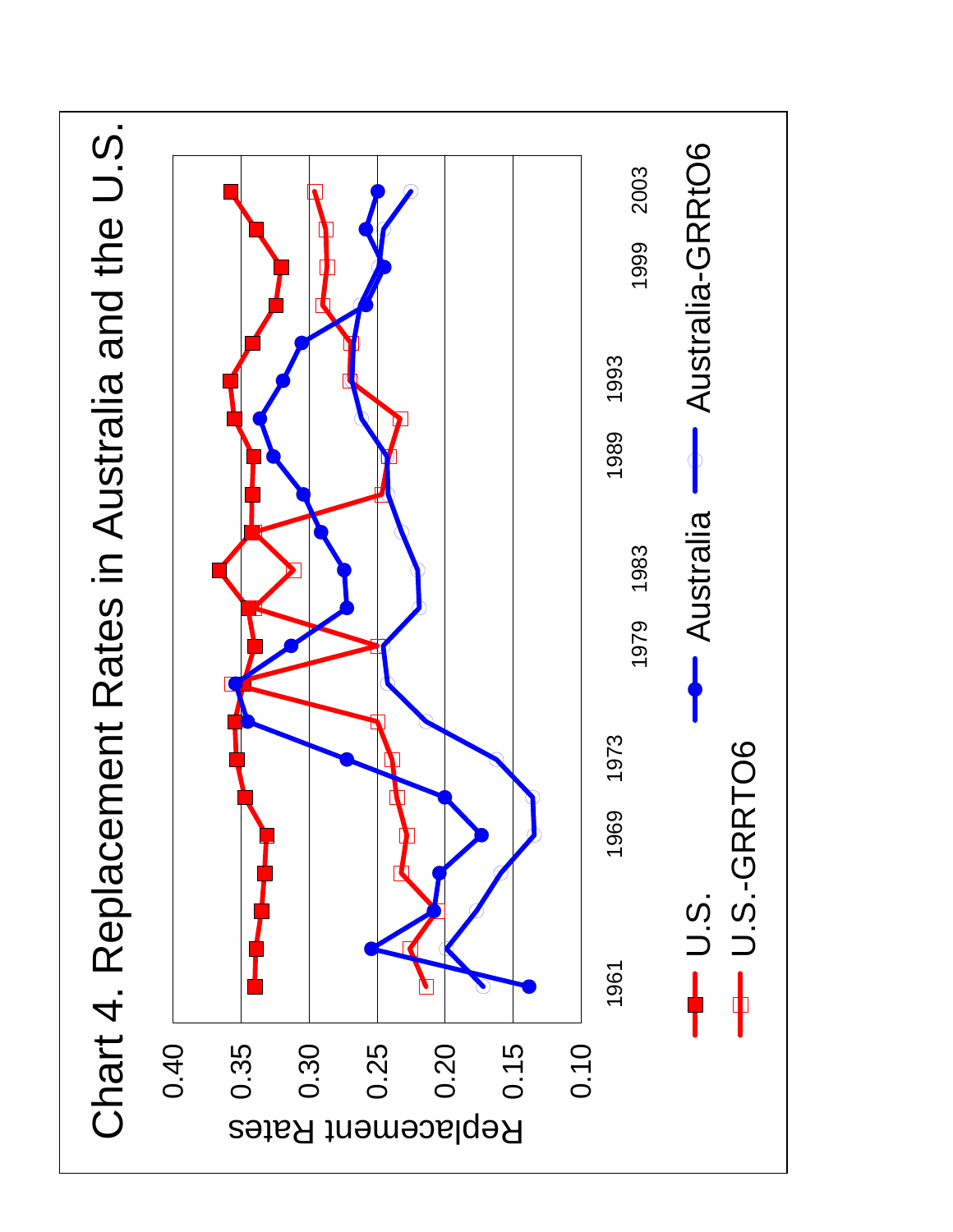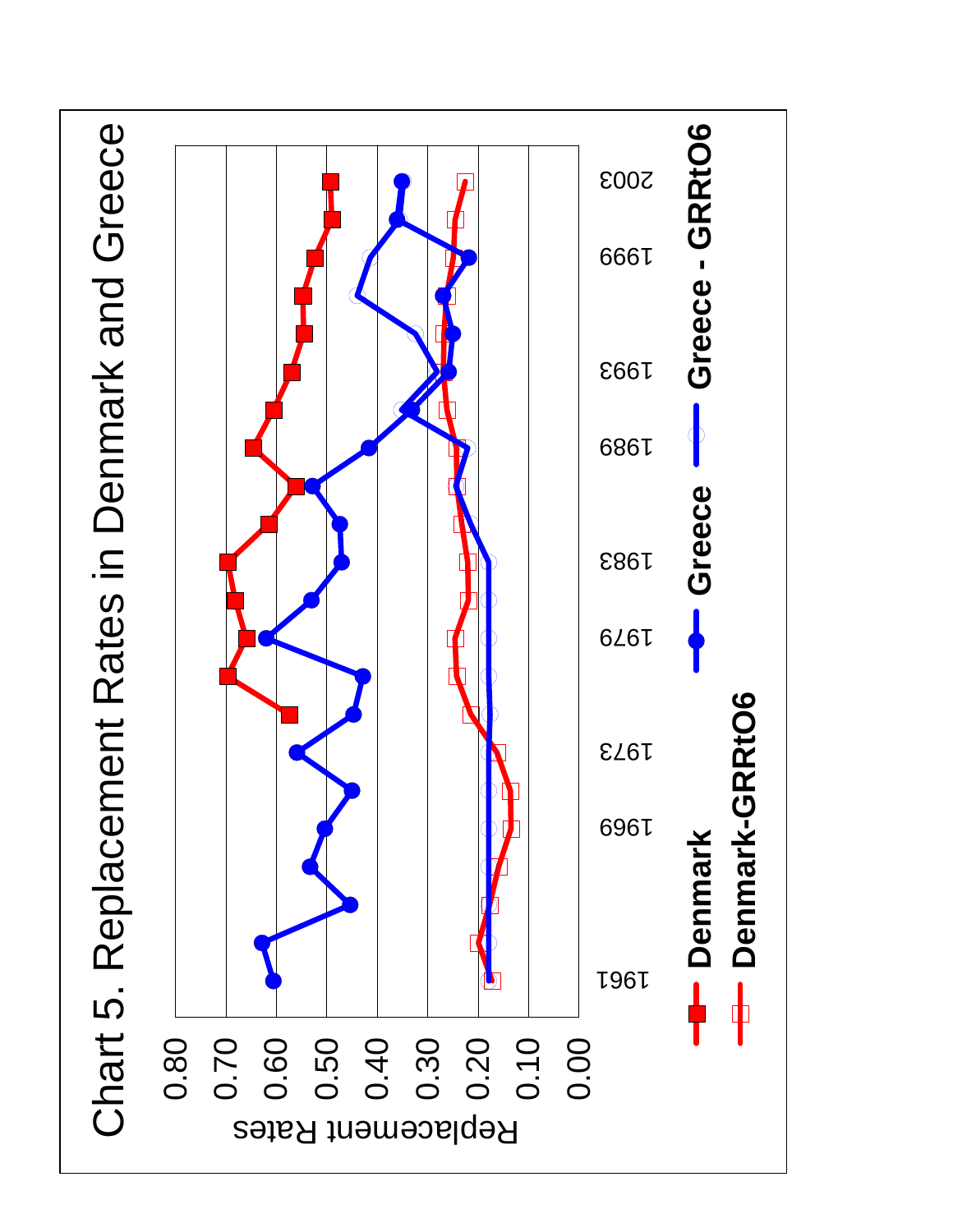